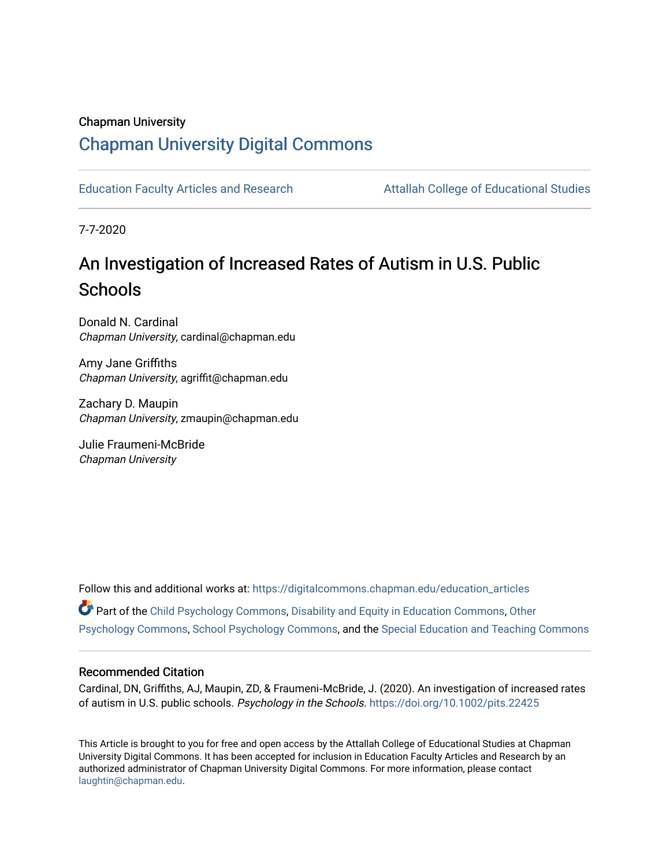# Chapman University

# [Chapman University Digital Commons](https://digitalcommons.chapman.edu/)

[Education Faculty Articles and Research](https://digitalcommons.chapman.edu/education_articles) [Attallah College of Educational Studies](https://digitalcommons.chapman.edu/ces) 

7-7-2020

# An Investigation of Increased Rates of Autism in U.S. Public **Schools**

Donald N. Cardinal Chapman University, cardinal@chapman.edu

Amy Jane Griffiths Chapman University, agriffit@chapman.edu

Zachary D. Maupin Chapman University, zmaupin@chapman.edu

Julie Fraumeni-McBride Chapman University

Follow this and additional works at: [https://digitalcommons.chapman.edu/education\\_articles](https://digitalcommons.chapman.edu/education_articles?utm_source=digitalcommons.chapman.edu%2Feducation_articles%2F262&utm_medium=PDF&utm_campaign=PDFCoverPages) Part of the [Child Psychology Commons,](http://network.bepress.com/hgg/discipline/1023?utm_source=digitalcommons.chapman.edu%2Feducation_articles%2F262&utm_medium=PDF&utm_campaign=PDFCoverPages) [Disability and Equity in Education Commons](http://network.bepress.com/hgg/discipline/1040?utm_source=digitalcommons.chapman.edu%2Feducation_articles%2F262&utm_medium=PDF&utm_campaign=PDFCoverPages), [Other](http://network.bepress.com/hgg/discipline/415?utm_source=digitalcommons.chapman.edu%2Feducation_articles%2F262&utm_medium=PDF&utm_campaign=PDFCoverPages) [Psychology Commons,](http://network.bepress.com/hgg/discipline/415?utm_source=digitalcommons.chapman.edu%2Feducation_articles%2F262&utm_medium=PDF&utm_campaign=PDFCoverPages) [School Psychology Commons,](http://network.bepress.com/hgg/discipline/1072?utm_source=digitalcommons.chapman.edu%2Feducation_articles%2F262&utm_medium=PDF&utm_campaign=PDFCoverPages) and the [Special Education and Teaching Commons](http://network.bepress.com/hgg/discipline/801?utm_source=digitalcommons.chapman.edu%2Feducation_articles%2F262&utm_medium=PDF&utm_campaign=PDFCoverPages) 

#### Recommended Citation

Cardinal, DN, Griffiths, AJ, Maupin, ZD, & Fraumeni‐McBride, J. (2020). An investigation of increased rates of autism in U.S. public schools. Psychology in the Schools. <https://doi.org/10.1002/pits.22425>

This Article is brought to you for free and open access by the Attallah College of Educational Studies at Chapman University Digital Commons. It has been accepted for inclusion in Education Faculty Articles and Research by an authorized administrator of Chapman University Digital Commons. For more information, please contact [laughtin@chapman.edu.](mailto:laughtin@chapman.edu)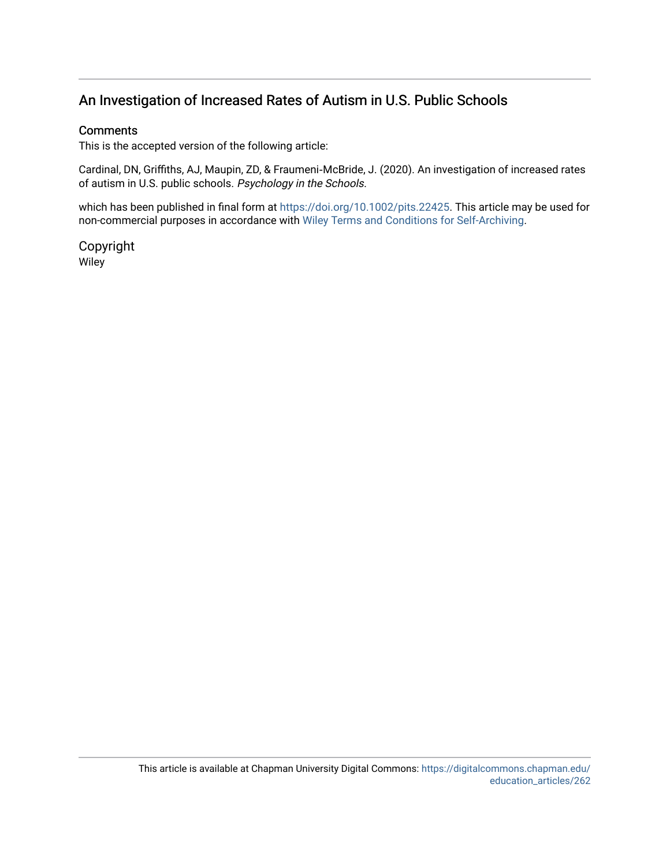# **Comments**

This is the accepted version of the following article:

Cardinal, DN, Griffiths, AJ, Maupin, ZD, & Fraumeni‐McBride, J. (2020). An investigation of increased rates of autism in U.S. public schools. Psychology in the Schools.

which has been published in final form at <https://doi.org/10.1002/pits.22425>. This article may be used for non-commercial purposes in accordance with [Wiley Terms and Conditions for Self-Archiving](http://olabout.wiley.com/WileyCDA/Section/id-820227.html#terms).

Copyright Wiley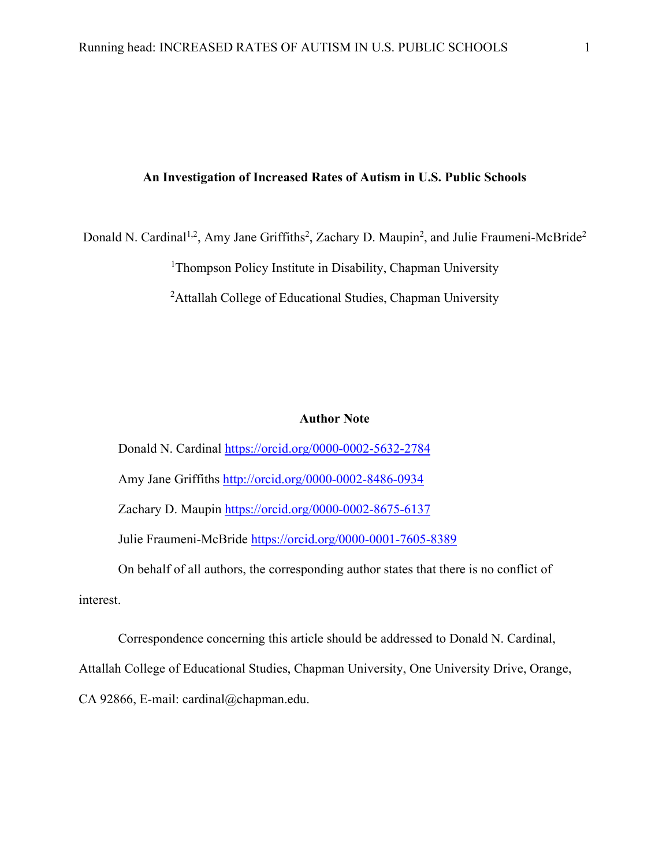Donald N. Cardinal<sup>1,2</sup>, Amy Jane Griffiths<sup>2</sup>, Zachary D. Maupin<sup>2</sup>, and Julie Fraumeni-McBride<sup>2</sup>

<sup>1</sup>Thompson Policy Institute in Disability, Chapman University

<sup>2</sup>Attallah College of Educational Studies, Chapman University

#### **Author Note**

Donald N. Cardinal<https://orcid.org/0000-0002-5632-2784> Amy Jane Griffiths <http://orcid.org/0000-0002-8486-0934> Zachary D. Maupin<https://orcid.org/0000-0002-8675-6137> Julie Fraumeni-McBride <https://orcid.org/0000-0001-7605-8389> On behalf of all authors, the corresponding author states that there is no conflict of

interest.

Correspondence concerning this article should be addressed to Donald N. Cardinal,

Attallah College of Educational Studies, Chapman University, One University Drive, Orange,

CA 92866, E-mail: cardinal@chapman.edu.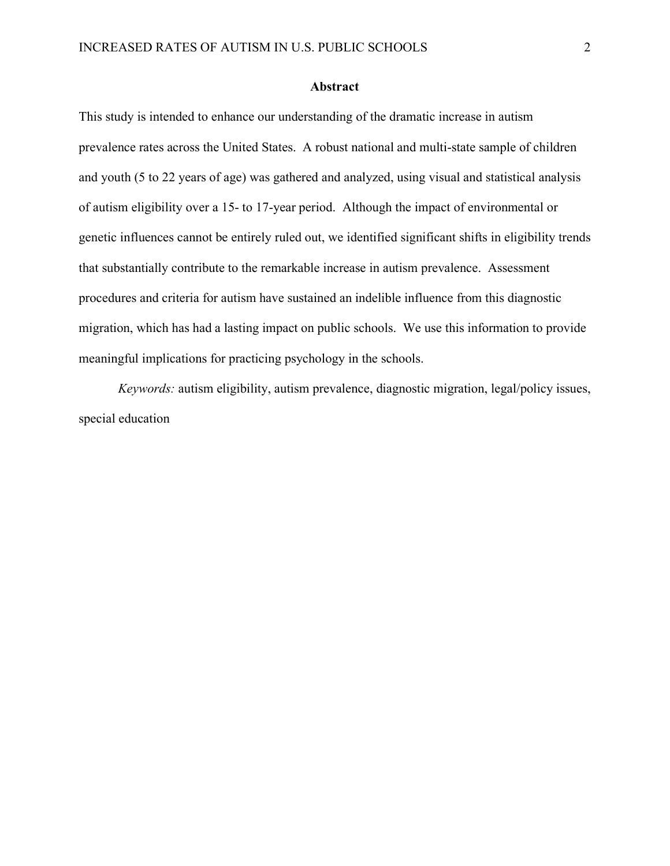### **Abstract**

This study is intended to enhance our understanding of the dramatic increase in autism prevalence rates across the United States. A robust national and multi-state sample of children and youth (5 to 22 years of age) was gathered and analyzed, using visual and statistical analysis of autism eligibility over a 15- to 17-year period. Although the impact of environmental or genetic influences cannot be entirely ruled out, we identified significant shifts in eligibility trends that substantially contribute to the remarkable increase in autism prevalence. Assessment procedures and criteria for autism have sustained an indelible influence from this diagnostic migration, which has had a lasting impact on public schools. We use this information to provide meaningful implications for practicing psychology in the schools.

*Keywords:* autism eligibility, autism prevalence, diagnostic migration, legal/policy issues, special education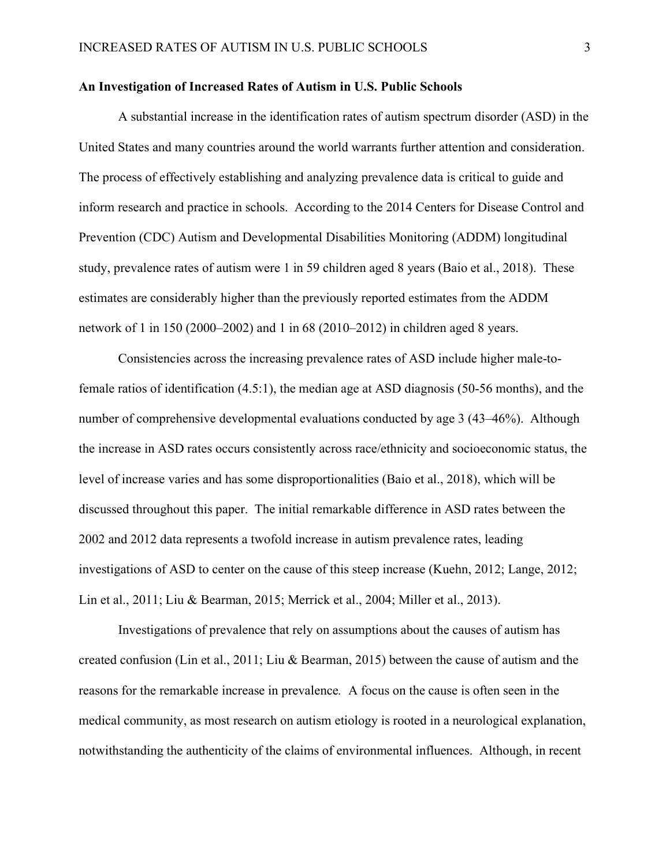A substantial increase in the identification rates of autism spectrum disorder (ASD) in the United States and many countries around the world warrants further attention and consideration. The process of effectively establishing and analyzing prevalence data is critical to guide and inform research and practice in schools. According to the 2014 Centers for Disease Control and Prevention (CDC) Autism and Developmental Disabilities Monitoring (ADDM) longitudinal study, prevalence rates of autism were 1 in 59 children aged 8 years (Baio et al., 2018). These estimates are considerably higher than the previously reported estimates from the ADDM network of 1 in 150 (2000–2002) and 1 in 68 (2010–2012) in children aged 8 years.

Consistencies across the increasing prevalence rates of ASD include higher male-tofemale ratios of identification (4.5:1), the median age at ASD diagnosis (50-56 months), and the number of comprehensive developmental evaluations conducted by age 3 (43–46%). Although the increase in ASD rates occurs consistently across race/ethnicity and socioeconomic status, the level of increase varies and has some disproportionalities (Baio et al., 2018), which will be discussed throughout this paper. The initial remarkable difference in ASD rates between the 2002 and 2012 data represents a twofold increase in autism prevalence rates, leading investigations of ASD to center on the cause of this steep increase (Kuehn, 2012; Lange, 2012; Lin et al., 2011; Liu & Bearman, 2015; Merrick et al., 2004; Miller et al., 2013).

Investigations of prevalence that rely on assumptions about the causes of autism has created confusion (Lin et al., 2011; Liu & Bearman, 2015) between the cause of autism and the reasons for the remarkable increase in prevalence*.* A focus on the cause is often seen in the medical community, as most research on autism etiology is rooted in a neurological explanation, notwithstanding the authenticity of the claims of environmental influences. Although, in recent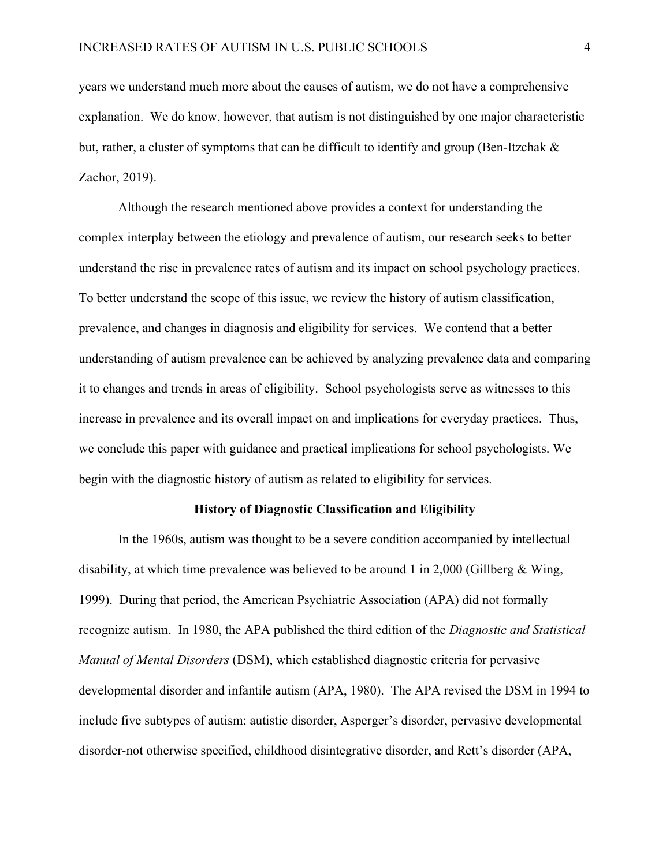years we understand much more about the causes of autism, we do not have a comprehensive explanation. We do know, however, that autism is not distinguished by one major characteristic but, rather, a cluster of symptoms that can be difficult to identify and group (Ben-Itzchak & Zachor, 2019).

Although the research mentioned above provides a context for understanding the complex interplay between the etiology and prevalence of autism, our research seeks to better understand the rise in prevalence rates of autism and its impact on school psychology practices. To better understand the scope of this issue, we review the history of autism classification, prevalence, and changes in diagnosis and eligibility for services. We contend that a better understanding of autism prevalence can be achieved by analyzing prevalence data and comparing it to changes and trends in areas of eligibility. School psychologists serve as witnesses to this increase in prevalence and its overall impact on and implications for everyday practices. Thus, we conclude this paper with guidance and practical implications for school psychologists. We begin with the diagnostic history of autism as related to eligibility for services.

#### **History of Diagnostic Classification and Eligibility**

In the 1960s, autism was thought to be a severe condition accompanied by intellectual disability, at which time prevalence was believed to be around 1 in 2,000 (Gillberg & Wing, 1999). During that period, the American Psychiatric Association (APA) did not formally recognize autism. In 1980, the APA published the third edition of the *Diagnostic and Statistical Manual of Mental Disorders* (DSM), which established diagnostic criteria for pervasive developmental disorder and infantile autism (APA, 1980). The APA revised the DSM in 1994 to include five subtypes of autism: autistic disorder, Asperger's disorder, pervasive developmental disorder-not otherwise specified, childhood disintegrative disorder, and Rett's disorder (APA,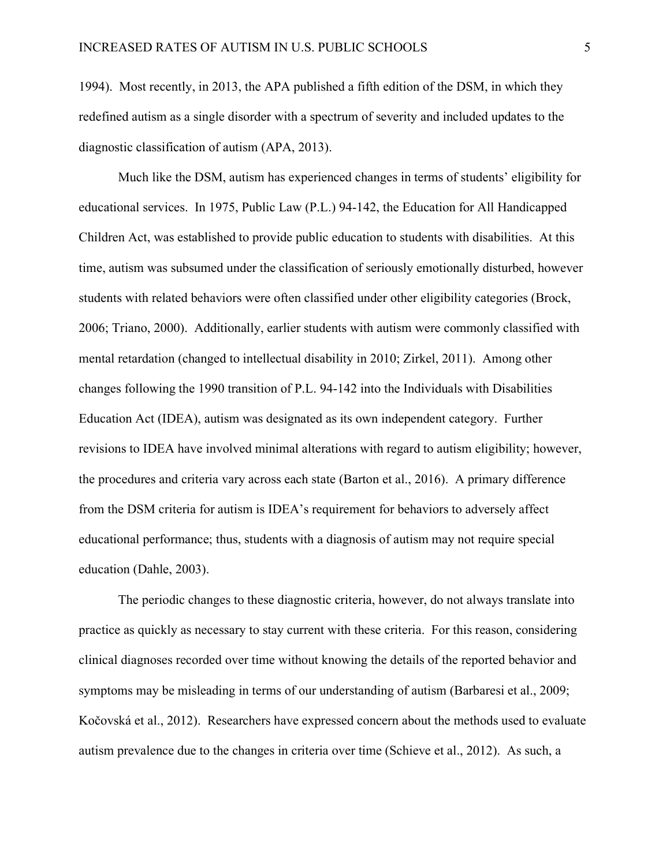1994). Most recently, in 2013, the APA published a fifth edition of the DSM, in which they redefined autism as a single disorder with a spectrum of severity and included updates to the diagnostic classification of autism (APA, 2013).

Much like the DSM, autism has experienced changes in terms of students' eligibility for educational services. In 1975, Public Law (P.L.) 94-142, the Education for All Handicapped Children Act, was established to provide public education to students with disabilities. At this time, autism was subsumed under the classification of seriously emotionally disturbed, however students with related behaviors were often classified under other eligibility categories (Brock, 2006; Triano, 2000). Additionally, earlier students with autism were commonly classified with mental retardation (changed to intellectual disability in 2010; Zirkel, 2011). Among other changes following the 1990 transition of P.L. 94-142 into the Individuals with Disabilities Education Act (IDEA), autism was designated as its own independent category. Further revisions to IDEA have involved minimal alterations with regard to autism eligibility; however, the procedures and criteria vary across each state (Barton et al., 2016). A primary difference from the DSM criteria for autism is IDEA's requirement for behaviors to adversely affect educational performance; thus, students with a diagnosis of autism may not require special education (Dahle, 2003).

The periodic changes to these diagnostic criteria, however, do not always translate into practice as quickly as necessary to stay current with these criteria. For this reason, considering clinical diagnoses recorded over time without knowing the details of the reported behavior and symptoms may be misleading in terms of our understanding of autism (Barbaresi et al., 2009; Kočovská et al., 2012). Researchers have expressed concern about the methods used to evaluate autism prevalence due to the changes in criteria over time (Schieve et al., 2012). As such, a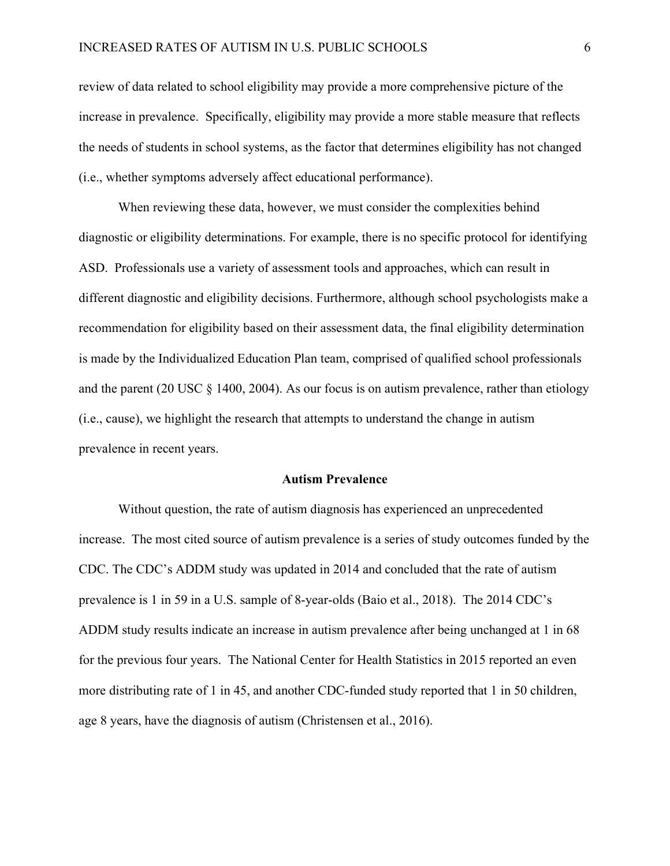review of data related to school eligibility may provide a more comprehensive picture of the increase in prevalence. Specifically, eligibility may provide a more stable measure that reflects the needs of students in school systems, as the factor that determines eligibility has not changed (i.e., whether symptoms adversely affect educational performance).

When reviewing these data, however, we must consider the complexities behind diagnostic or eligibility determinations. For example, there is no specific protocol for identifying ASD. Professionals use a variety of assessment tools and approaches, which can result in different diagnostic and eligibility decisions. Furthermore, although school psychologists make a recommendation for eligibility based on their assessment data, the final eligibility determination is made by the Individualized Education Plan team, comprised of qualified school professionals and the parent (20 USC § 1400, 2004). As our focus is on autism prevalence, rather than etiology (i.e., cause), we highlight the research that attempts to understand the change in autism prevalence in recent years.

#### **Autism Prevalence**

Without question, the rate of autism diagnosis has experienced an unprecedented increase. The most cited source of autism prevalence is a series of study outcomes funded by the CDC. The CDC's ADDM study was updated in 2014 and concluded that the rate of autism prevalence is 1 in 59 in a U.S. sample of 8-year-olds (Baio et al., 2018). The 2014 CDC's ADDM study results indicate an increase in autism prevalence after being unchanged at 1 in 68 for the previous four years. The National Center for Health Statistics in 2015 reported an even more distributing rate of 1 in 45, and another CDC-funded study reported that 1 in 50 children, age 8 years, have the diagnosis of autism (Christensen et al., 2016).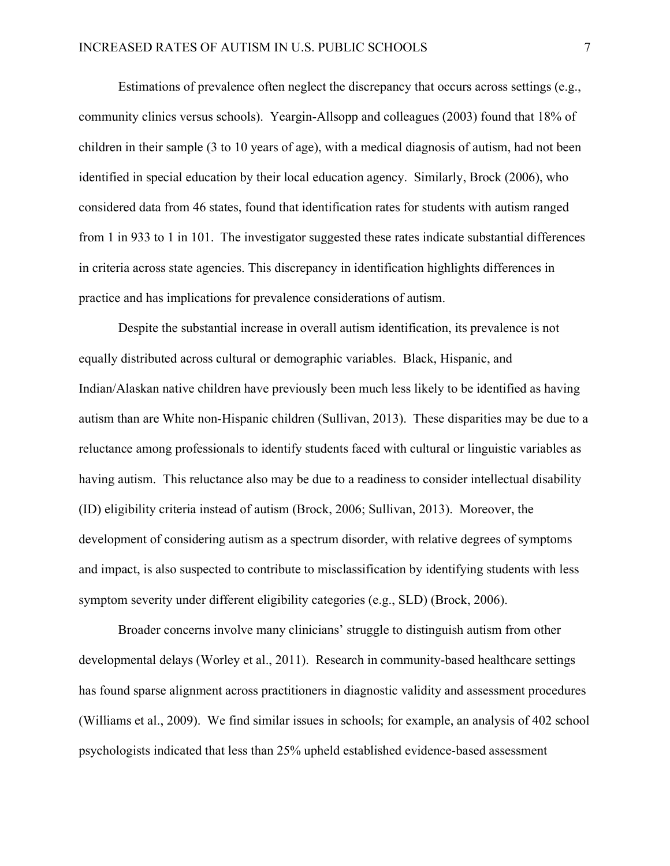Estimations of prevalence often neglect the discrepancy that occurs across settings (e.g., community clinics versus schools). Yeargin-Allsopp and colleagues (2003) found that 18% of children in their sample (3 to 10 years of age), with a medical diagnosis of autism, had not been identified in special education by their local education agency. Similarly, Brock (2006), who considered data from 46 states, found that identification rates for students with autism ranged from 1 in 933 to 1 in 101. The investigator suggested these rates indicate substantial differences in criteria across state agencies. This discrepancy in identification highlights differences in practice and has implications for prevalence considerations of autism.

Despite the substantial increase in overall autism identification, its prevalence is not equally distributed across cultural or demographic variables. Black, Hispanic, and Indian/Alaskan native children have previously been much less likely to be identified as having autism than are White non-Hispanic children (Sullivan, 2013). These disparities may be due to a reluctance among professionals to identify students faced with cultural or linguistic variables as having autism. This reluctance also may be due to a readiness to consider intellectual disability (ID) eligibility criteria instead of autism (Brock, 2006; Sullivan, 2013). Moreover, the development of considering autism as a spectrum disorder, with relative degrees of symptoms and impact, is also suspected to contribute to misclassification by identifying students with less symptom severity under different eligibility categories (e.g., SLD) (Brock, 2006).

Broader concerns involve many clinicians' struggle to distinguish autism from other developmental delays (Worley et al., 2011). Research in community-based healthcare settings has found sparse alignment across practitioners in diagnostic validity and assessment procedures (Williams et al., 2009). We find similar issues in schools; for example, an analysis of 402 school psychologists indicated that less than 25% upheld established evidence-based assessment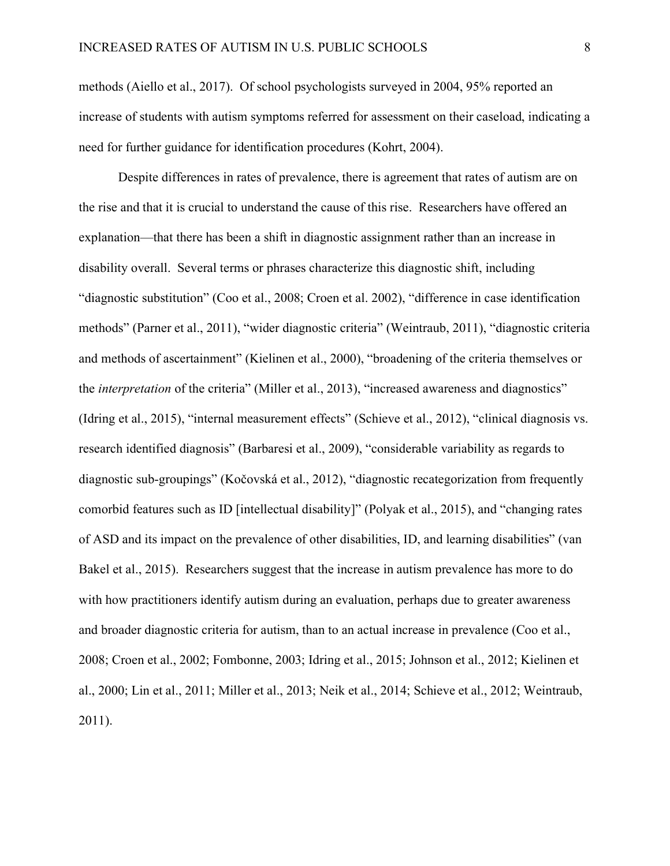methods (Aiello et al., 2017). Of school psychologists surveyed in 2004, 95% reported an increase of students with autism symptoms referred for assessment on their caseload, indicating a need for further guidance for identification procedures (Kohrt, 2004).

Despite differences in rates of prevalence, there is agreement that rates of autism are on the rise and that it is crucial to understand the cause of this rise. Researchers have offered an explanation—that there has been a shift in diagnostic assignment rather than an increase in disability overall. Several terms or phrases characterize this diagnostic shift, including "diagnostic substitution" (Coo et al., 2008; Croen et al. 2002), "difference in case identification methods" (Parner et al., 2011), "wider diagnostic criteria" (Weintraub, 2011), "diagnostic criteria and methods of ascertainment" (Kielinen et al., 2000), "broadening of the criteria themselves or the *interpretation* of the criteria" (Miller et al., 2013), "increased awareness and diagnostics" (Idring et al., 2015), "internal measurement effects" (Schieve et al., 2012), "clinical diagnosis vs. research identified diagnosis" (Barbaresi et al., 2009), "considerable variability as regards to diagnostic sub-groupings" (Kočovská et al., 2012), "diagnostic recategorization from frequently comorbid features such as ID [intellectual disability]" (Polyak et al., 2015), and "changing rates of ASD and its impact on the prevalence of other disabilities, ID, and learning disabilities" (van Bakel et al., 2015). Researchers suggest that the increase in autism prevalence has more to do with how practitioners identify autism during an evaluation, perhaps due to greater awareness and broader diagnostic criteria for autism, than to an actual increase in prevalence (Coo et al., 2008; Croen et al., 2002; Fombonne, 2003; Idring et al., 2015; Johnson et al., 2012; Kielinen et al., 2000; Lin et al., 2011; Miller et al., 2013; Neik et al., 2014; Schieve et al., 2012; Weintraub, 2011).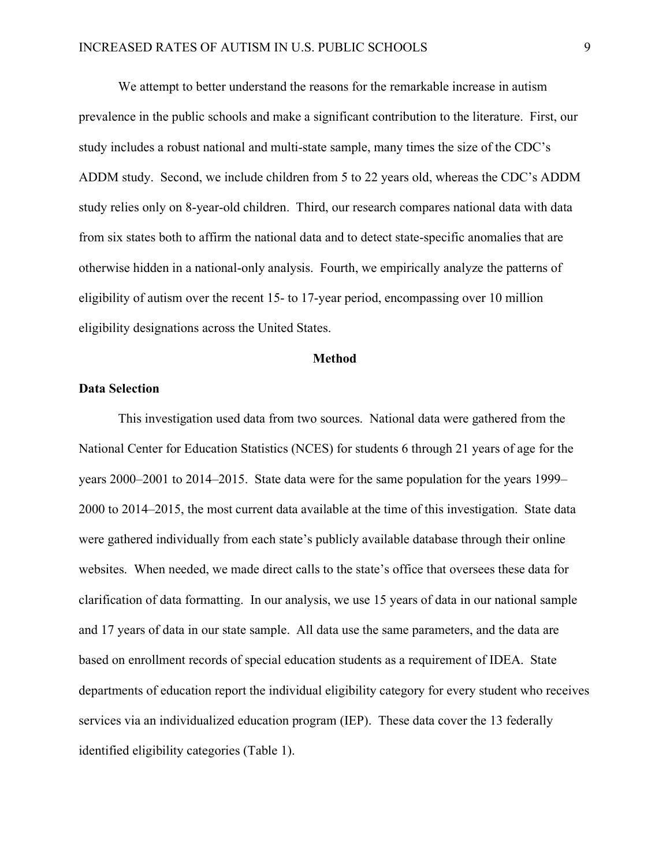We attempt to better understand the reasons for the remarkable increase in autism prevalence in the public schools and make a significant contribution to the literature. First, our study includes a robust national and multi-state sample, many times the size of the CDC's ADDM study. Second, we include children from 5 to 22 years old, whereas the CDC's ADDM study relies only on 8-year-old children. Third, our research compares national data with data from six states both to affirm the national data and to detect state-specific anomalies that are otherwise hidden in a national-only analysis. Fourth, we empirically analyze the patterns of eligibility of autism over the recent 15- to 17-year period, encompassing over 10 million eligibility designations across the United States.

### **Method**

### **Data Selection**

This investigation used data from two sources. National data were gathered from the National Center for Education Statistics (NCES) for students 6 through 21 years of age for the years 2000–2001 to 2014–2015. State data were for the same population for the years 1999– 2000 to 2014–2015, the most current data available at the time of this investigation. State data were gathered individually from each state's publicly available database through their online websites. When needed, we made direct calls to the state's office that oversees these data for clarification of data formatting. In our analysis, we use 15 years of data in our national sample and 17 years of data in our state sample. All data use the same parameters, and the data are based on enrollment records of special education students as a requirement of IDEA. State departments of education report the individual eligibility category for every student who receives services via an individualized education program (IEP). These data cover the 13 federally identified eligibility categories (Table 1).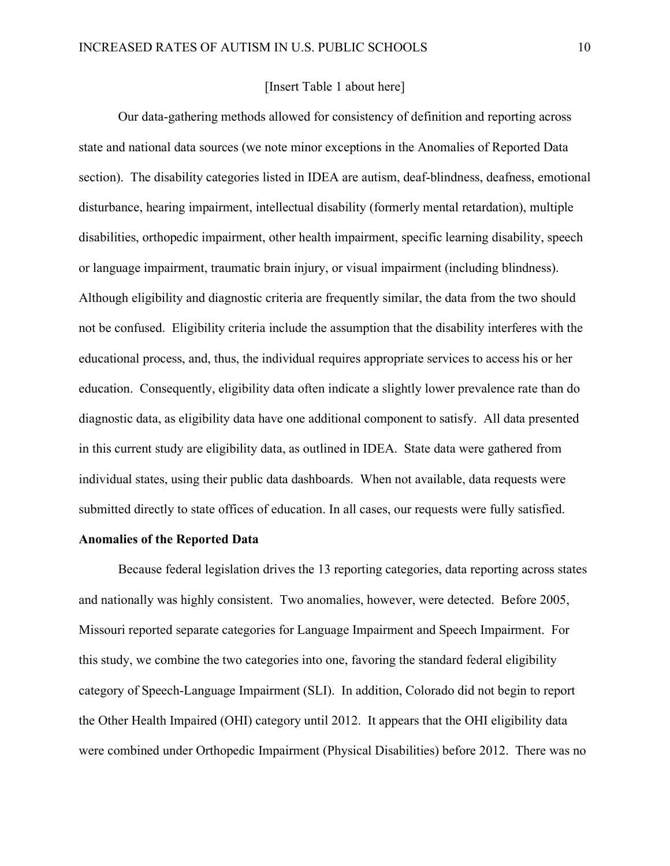# [Insert Table 1 about here]

Our data-gathering methods allowed for consistency of definition and reporting across state and national data sources (we note minor exceptions in the Anomalies of Reported Data section). The disability categories listed in IDEA are autism, deaf-blindness, deafness, emotional disturbance, hearing impairment, intellectual disability (formerly mental retardation), multiple disabilities, orthopedic impairment, other health impairment, specific learning disability, speech or language impairment, traumatic brain injury, or visual impairment (including blindness). Although eligibility and diagnostic criteria are frequently similar, the data from the two should not be confused. Eligibility criteria include the assumption that the disability interferes with the educational process, and, thus, the individual requires appropriate services to access his or her education. Consequently, eligibility data often indicate a slightly lower prevalence rate than do diagnostic data, as eligibility data have one additional component to satisfy. All data presented in this current study are eligibility data, as outlined in IDEA. State data were gathered from individual states, using their public data dashboards. When not available, data requests were submitted directly to state offices of education. In all cases, our requests were fully satisfied.

# **Anomalies of the Reported Data**

Because federal legislation drives the 13 reporting categories, data reporting across states and nationally was highly consistent. Two anomalies, however, were detected. Before 2005, Missouri reported separate categories for Language Impairment and Speech Impairment. For this study, we combine the two categories into one, favoring the standard federal eligibility category of Speech-Language Impairment (SLI). In addition, Colorado did not begin to report the Other Health Impaired (OHI) category until 2012. It appears that the OHI eligibility data were combined under Orthopedic Impairment (Physical Disabilities) before 2012. There was no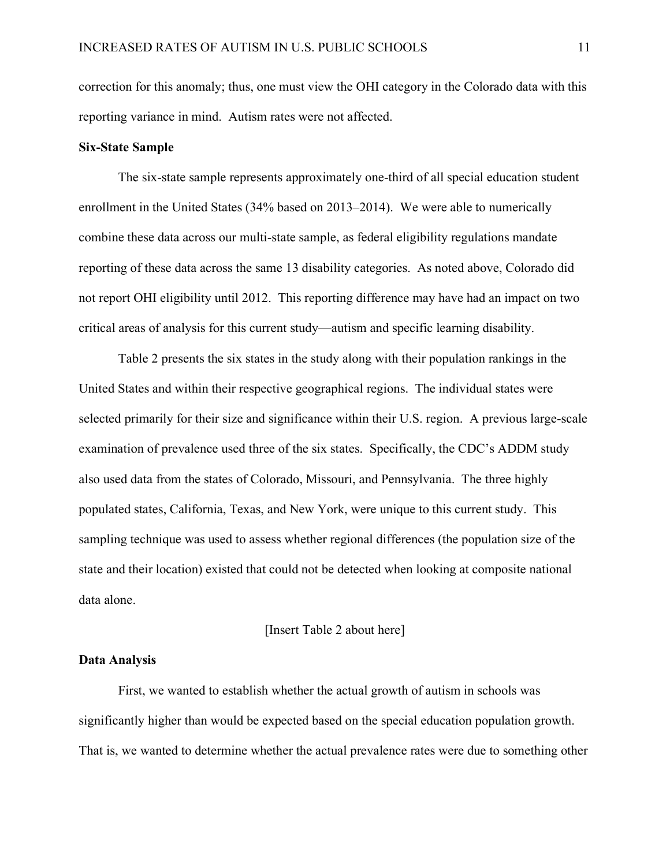correction for this anomaly; thus, one must view the OHI category in the Colorado data with this reporting variance in mind. Autism rates were not affected.

### **Six-State Sample**

The six-state sample represents approximately one-third of all special education student enrollment in the United States (34% based on 2013–2014). We were able to numerically combine these data across our multi-state sample, as federal eligibility regulations mandate reporting of these data across the same 13 disability categories. As noted above, Colorado did not report OHI eligibility until 2012. This reporting difference may have had an impact on two critical areas of analysis for this current study—autism and specific learning disability.

Table 2 presents the six states in the study along with their population rankings in the United States and within their respective geographical regions. The individual states were selected primarily for their size and significance within their U.S. region. A previous large-scale examination of prevalence used three of the six states. Specifically, the CDC's ADDM study also used data from the states of Colorado, Missouri, and Pennsylvania. The three highly populated states, California, Texas, and New York, were unique to this current study. This sampling technique was used to assess whether regional differences (the population size of the state and their location) existed that could not be detected when looking at composite national data alone.

#### [Insert Table 2 about here]

#### **Data Analysis**

First, we wanted to establish whether the actual growth of autism in schools was significantly higher than would be expected based on the special education population growth. That is, we wanted to determine whether the actual prevalence rates were due to something other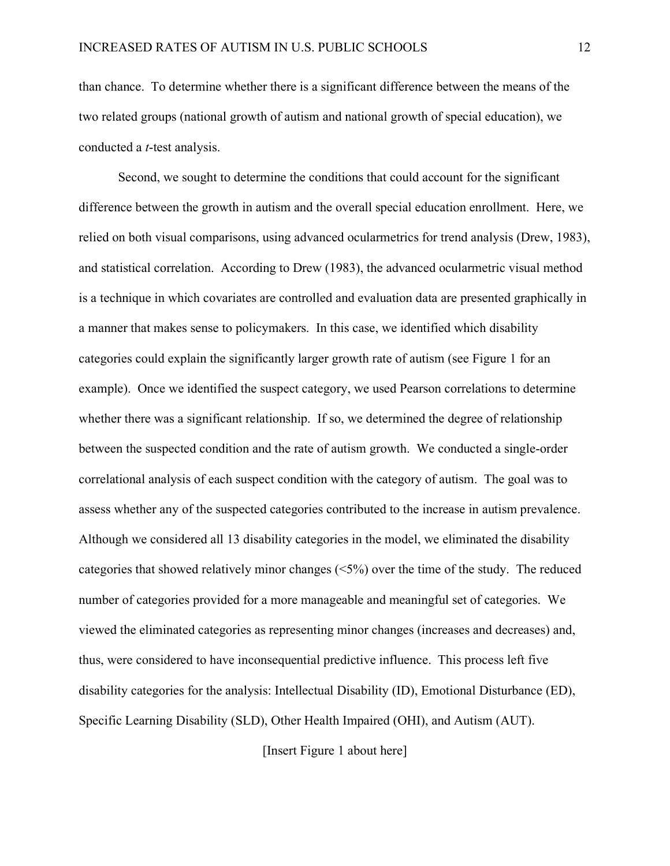than chance. To determine whether there is a significant difference between the means of the two related groups (national growth of autism and national growth of special education), we conducted a *t*-test analysis.

Second, we sought to determine the conditions that could account for the significant difference between the growth in autism and the overall special education enrollment. Here, we relied on both visual comparisons, using advanced ocularmetrics for trend analysis (Drew, 1983), and statistical correlation. According to Drew (1983), the advanced ocularmetric visual method is a technique in which covariates are controlled and evaluation data are presented graphically in a manner that makes sense to policymakers. In this case, we identified which disability categories could explain the significantly larger growth rate of autism (see Figure 1 for an example). Once we identified the suspect category, we used Pearson correlations to determine whether there was a significant relationship. If so, we determined the degree of relationship between the suspected condition and the rate of autism growth. We conducted a single-order correlational analysis of each suspect condition with the category of autism. The goal was to assess whether any of the suspected categories contributed to the increase in autism prevalence. Although we considered all 13 disability categories in the model, we eliminated the disability categories that showed relatively minor changes (<5%) over the time of the study. The reduced number of categories provided for a more manageable and meaningful set of categories. We viewed the eliminated categories as representing minor changes (increases and decreases) and, thus, were considered to have inconsequential predictive influence. This process left five disability categories for the analysis: Intellectual Disability (ID), Emotional Disturbance (ED), Specific Learning Disability (SLD), Other Health Impaired (OHI), and Autism (AUT).

[Insert Figure 1 about here]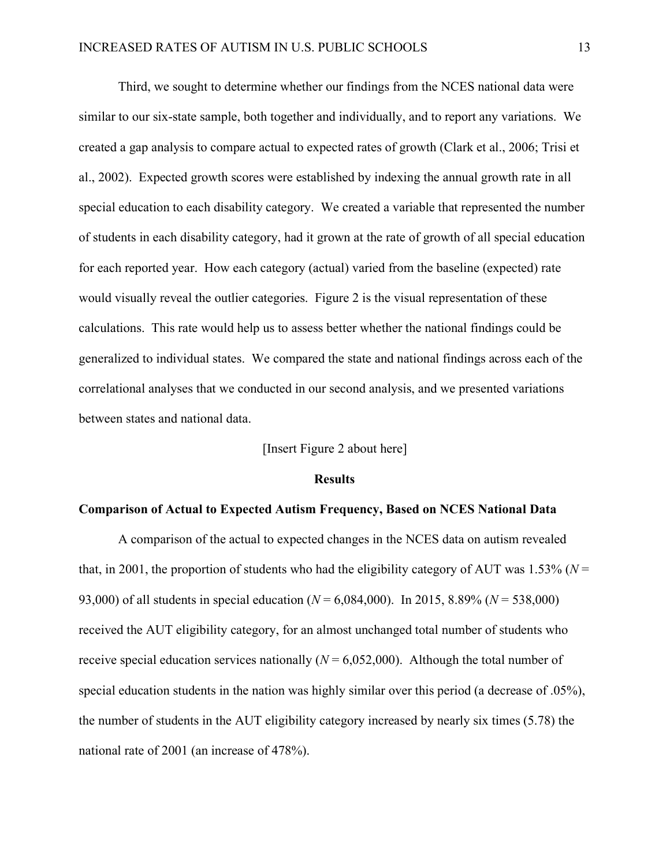Third, we sought to determine whether our findings from the NCES national data were similar to our six-state sample, both together and individually, and to report any variations. We created a gap analysis to compare actual to expected rates of growth (Clark et al., 2006; Trisi et al., 2002). Expected growth scores were established by indexing the annual growth rate in all special education to each disability category. We created a variable that represented the number of students in each disability category, had it grown at the rate of growth of all special education for each reported year. How each category (actual) varied from the baseline (expected) rate would visually reveal the outlier categories. Figure 2 is the visual representation of these calculations. This rate would help us to assess better whether the national findings could be generalized to individual states. We compared the state and national findings across each of the correlational analyses that we conducted in our second analysis, and we presented variations between states and national data.

### [Insert Figure 2 about here]

#### **Results**

#### **Comparison of Actual to Expected Autism Frequency, Based on NCES National Data**

A comparison of the actual to expected changes in the NCES data on autism revealed that, in 2001, the proportion of students who had the eligibility category of AUT was  $1.53\%$  ( $N =$ 93,000) of all students in special education (*N* = 6,084,000). In 2015, 8.89% (*N* = 538,000) received the AUT eligibility category, for an almost unchanged total number of students who receive special education services nationally  $(N = 6,052,000)$ . Although the total number of special education students in the nation was highly similar over this period (a decrease of .05%), the number of students in the AUT eligibility category increased by nearly six times (5.78) the national rate of 2001 (an increase of 478%).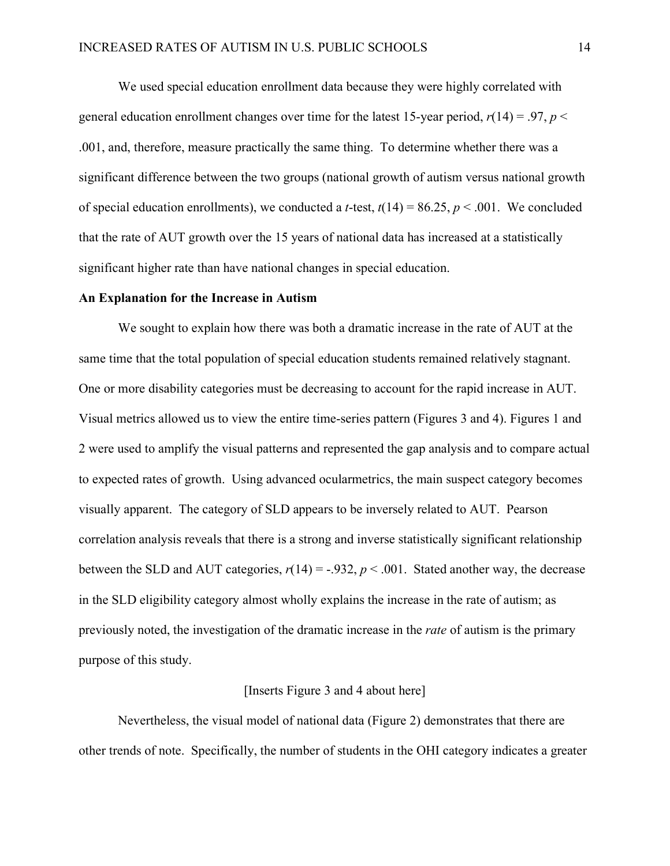We used special education enrollment data because they were highly correlated with general education enrollment changes over time for the latest 15-year period,  $r(14) = .97$ ,  $p <$ .001, and, therefore, measure practically the same thing. To determine whether there was a significant difference between the two groups (national growth of autism versus national growth of special education enrollments), we conducted a *t*-test,  $t(14) = 86.25$ ,  $p < .001$ . We concluded that the rate of AUT growth over the 15 years of national data has increased at a statistically significant higher rate than have national changes in special education.

#### **An Explanation for the Increase in Autism**

We sought to explain how there was both a dramatic increase in the rate of AUT at the same time that the total population of special education students remained relatively stagnant. One or more disability categories must be decreasing to account for the rapid increase in AUT. Visual metrics allowed us to view the entire time-series pattern (Figures 3 and 4). Figures 1 and 2 were used to amplify the visual patterns and represented the gap analysis and to compare actual to expected rates of growth. Using advanced ocularmetrics, the main suspect category becomes visually apparent. The category of SLD appears to be inversely related to AUT. Pearson correlation analysis reveals that there is a strong and inverse statistically significant relationship between the SLD and AUT categories,  $r(14) = -.932$ ,  $p < .001$ . Stated another way, the decrease in the SLD eligibility category almost wholly explains the increase in the rate of autism; as previously noted, the investigation of the dramatic increase in the *rate* of autism is the primary purpose of this study.

### [Inserts Figure 3 and 4 about here]

Nevertheless, the visual model of national data (Figure 2) demonstrates that there are other trends of note. Specifically, the number of students in the OHI category indicates a greater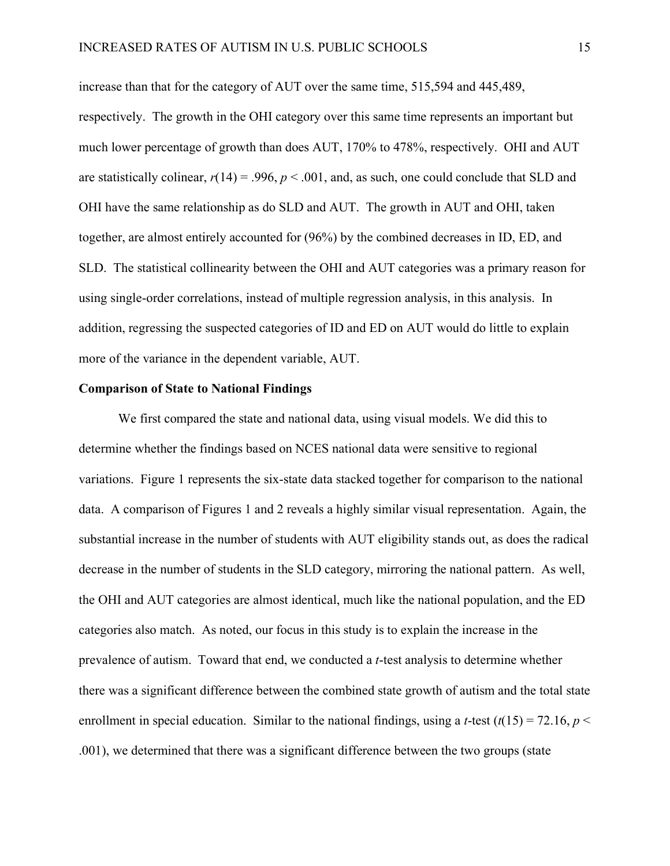increase than that for the category of AUT over the same time, 515,594 and 445,489, respectively. The growth in the OHI category over this same time represents an important but much lower percentage of growth than does AUT, 170% to 478%, respectively. OHI and AUT are statistically colinear,  $r(14) = .996$ ,  $p < .001$ , and, as such, one could conclude that SLD and OHI have the same relationship as do SLD and AUT. The growth in AUT and OHI, taken together, are almost entirely accounted for (96%) by the combined decreases in ID, ED, and SLD. The statistical collinearity between the OHI and AUT categories was a primary reason for using single-order correlations, instead of multiple regression analysis, in this analysis. In addition, regressing the suspected categories of ID and ED on AUT would do little to explain more of the variance in the dependent variable, AUT.

#### **Comparison of State to National Findings**

We first compared the state and national data, using visual models. We did this to determine whether the findings based on NCES national data were sensitive to regional variations. Figure 1 represents the six-state data stacked together for comparison to the national data. A comparison of Figures 1 and 2 reveals a highly similar visual representation. Again, the substantial increase in the number of students with AUT eligibility stands out, as does the radical decrease in the number of students in the SLD category, mirroring the national pattern. As well, the OHI and AUT categories are almost identical, much like the national population, and the ED categories also match. As noted, our focus in this study is to explain the increase in the prevalence of autism. Toward that end, we conducted a *t*-test analysis to determine whether there was a significant difference between the combined state growth of autism and the total state enrollment in special education. Similar to the national findings, using a *t*-test  $(t(15) = 72.16, p <$ .001), we determined that there was a significant difference between the two groups (state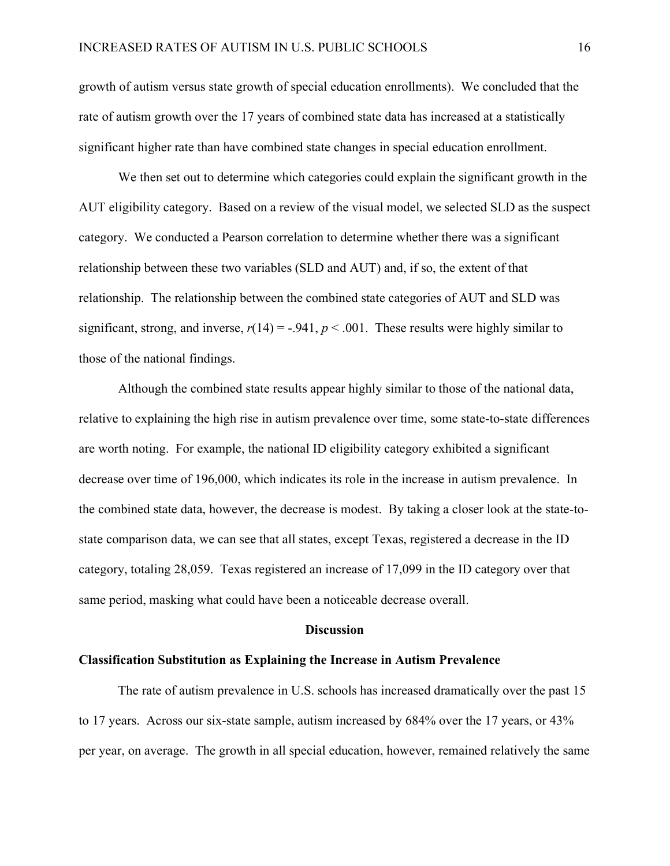growth of autism versus state growth of special education enrollments). We concluded that the rate of autism growth over the 17 years of combined state data has increased at a statistically significant higher rate than have combined state changes in special education enrollment.

We then set out to determine which categories could explain the significant growth in the AUT eligibility category. Based on a review of the visual model, we selected SLD as the suspect category. We conducted a Pearson correlation to determine whether there was a significant relationship between these two variables (SLD and AUT) and, if so, the extent of that relationship. The relationship between the combined state categories of AUT and SLD was significant, strong, and inverse,  $r(14) = -.941$ ,  $p < .001$ . These results were highly similar to those of the national findings.

Although the combined state results appear highly similar to those of the national data, relative to explaining the high rise in autism prevalence over time, some state-to-state differences are worth noting. For example, the national ID eligibility category exhibited a significant decrease over time of 196,000, which indicates its role in the increase in autism prevalence. In the combined state data, however, the decrease is modest. By taking a closer look at the state-tostate comparison data, we can see that all states, except Texas, registered a decrease in the ID category, totaling 28,059. Texas registered an increase of 17,099 in the ID category over that same period, masking what could have been a noticeable decrease overall.

#### **Discussion**

#### **Classification Substitution as Explaining the Increase in Autism Prevalence**

The rate of autism prevalence in U.S. schools has increased dramatically over the past 15 to 17 years. Across our six-state sample, autism increased by 684% over the 17 years, or 43% per year, on average. The growth in all special education, however, remained relatively the same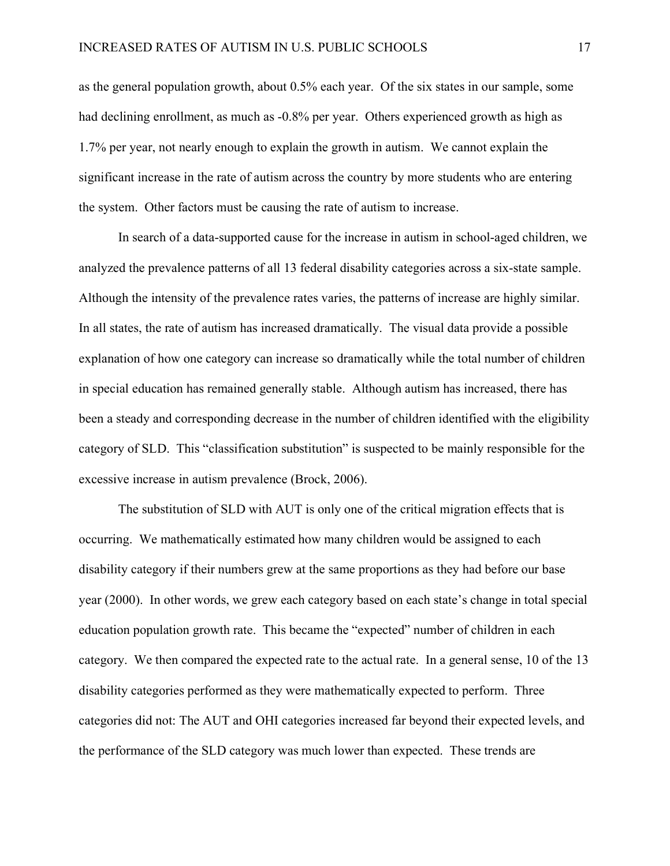as the general population growth, about 0.5% each year. Of the six states in our sample, some had declining enrollment, as much as  $-0.8\%$  per year. Others experienced growth as high as 1.7% per year, not nearly enough to explain the growth in autism. We cannot explain the significant increase in the rate of autism across the country by more students who are entering the system. Other factors must be causing the rate of autism to increase.

In search of a data-supported cause for the increase in autism in school-aged children, we analyzed the prevalence patterns of all 13 federal disability categories across a six-state sample. Although the intensity of the prevalence rates varies, the patterns of increase are highly similar. In all states, the rate of autism has increased dramatically. The visual data provide a possible explanation of how one category can increase so dramatically while the total number of children in special education has remained generally stable. Although autism has increased, there has been a steady and corresponding decrease in the number of children identified with the eligibility category of SLD. This "classification substitution" is suspected to be mainly responsible for the excessive increase in autism prevalence (Brock, 2006).

The substitution of SLD with AUT is only one of the critical migration effects that is occurring. We mathematically estimated how many children would be assigned to each disability category if their numbers grew at the same proportions as they had before our base year (2000). In other words, we grew each category based on each state's change in total special education population growth rate. This became the "expected" number of children in each category. We then compared the expected rate to the actual rate. In a general sense, 10 of the 13 disability categories performed as they were mathematically expected to perform. Three categories did not: The AUT and OHI categories increased far beyond their expected levels, and the performance of the SLD category was much lower than expected. These trends are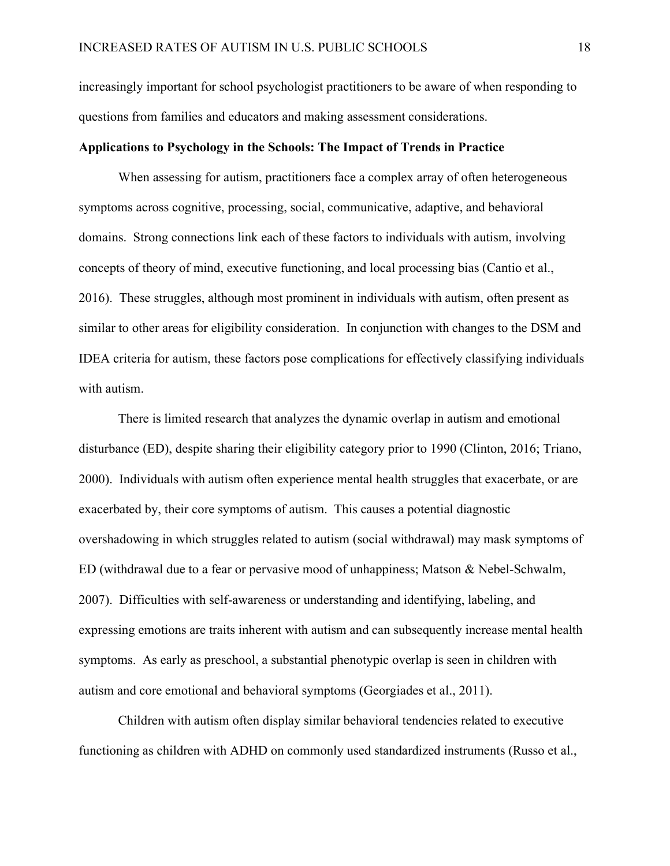increasingly important for school psychologist practitioners to be aware of when responding to questions from families and educators and making assessment considerations.

### **Applications to Psychology in the Schools: The Impact of Trends in Practice**

When assessing for autism, practitioners face a complex array of often heterogeneous symptoms across cognitive, processing, social, communicative, adaptive, and behavioral domains. Strong connections link each of these factors to individuals with autism, involving concepts of theory of mind, executive functioning, and local processing bias (Cantio et al., 2016). These struggles, although most prominent in individuals with autism, often present as similar to other areas for eligibility consideration. In conjunction with changes to the DSM and IDEA criteria for autism, these factors pose complications for effectively classifying individuals with autism.

There is limited research that analyzes the dynamic overlap in autism and emotional disturbance (ED), despite sharing their eligibility category prior to 1990 (Clinton, 2016; Triano, 2000). Individuals with autism often experience mental health struggles that exacerbate, or are exacerbated by, their core symptoms of autism. This causes a potential diagnostic overshadowing in which struggles related to autism (social withdrawal) may mask symptoms of ED (withdrawal due to a fear or pervasive mood of unhappiness; Matson & Nebel-Schwalm, 2007). Difficulties with self-awareness or understanding and identifying, labeling, and expressing emotions are traits inherent with autism and can subsequently increase mental health symptoms. As early as preschool, a substantial phenotypic overlap is seen in children with autism and core emotional and behavioral symptoms (Georgiades et al., 2011).

Children with autism often display similar behavioral tendencies related to executive functioning as children with ADHD on commonly used standardized instruments (Russo et al.,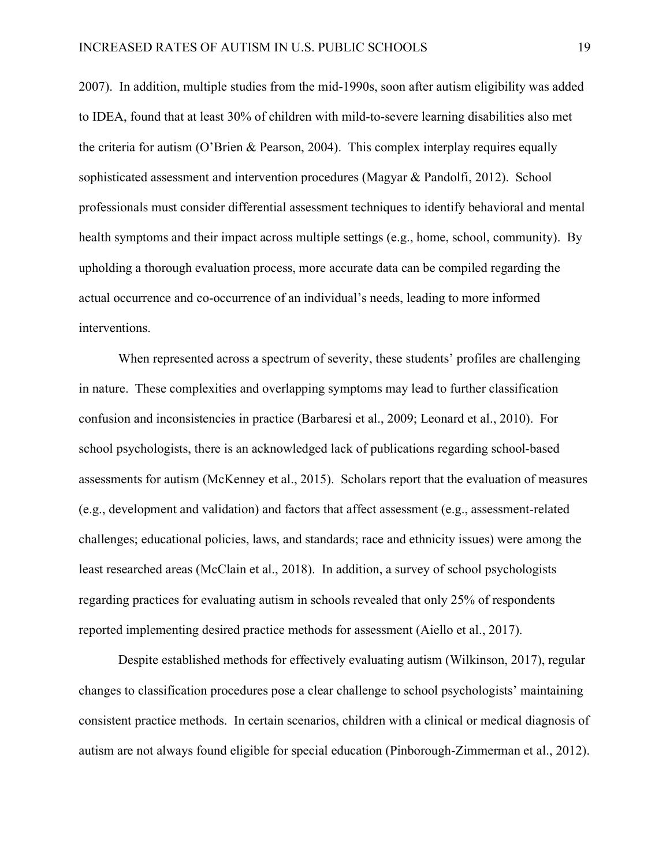2007). In addition, multiple studies from the mid-1990s, soon after autism eligibility was added to IDEA, found that at least 30% of children with mild-to-severe learning disabilities also met the criteria for autism (O'Brien & Pearson, 2004). This complex interplay requires equally sophisticated assessment and intervention procedures (Magyar & Pandolfi, 2012). School professionals must consider differential assessment techniques to identify behavioral and mental health symptoms and their impact across multiple settings (e.g., home, school, community). By upholding a thorough evaluation process, more accurate data can be compiled regarding the actual occurrence and co-occurrence of an individual's needs, leading to more informed interventions.

When represented across a spectrum of severity, these students' profiles are challenging in nature. These complexities and overlapping symptoms may lead to further classification confusion and inconsistencies in practice (Barbaresi et al., 2009; Leonard et al., 2010). For school psychologists, there is an acknowledged lack of publications regarding school-based assessments for autism (McKenney et al., 2015). Scholars report that the evaluation of measures (e.g., development and validation) and factors that affect assessment (e.g., assessment-related challenges; educational policies, laws, and standards; race and ethnicity issues) were among the least researched areas (McClain et al., 2018). In addition, a survey of school psychologists regarding practices for evaluating autism in schools revealed that only 25% of respondents reported implementing desired practice methods for assessment (Aiello et al., 2017).

Despite established methods for effectively evaluating autism (Wilkinson, 2017), regular changes to classification procedures pose a clear challenge to school psychologists' maintaining consistent practice methods. In certain scenarios, children with a clinical or medical diagnosis of autism are not always found eligible for special education (Pinborough-Zimmerman et al., 2012).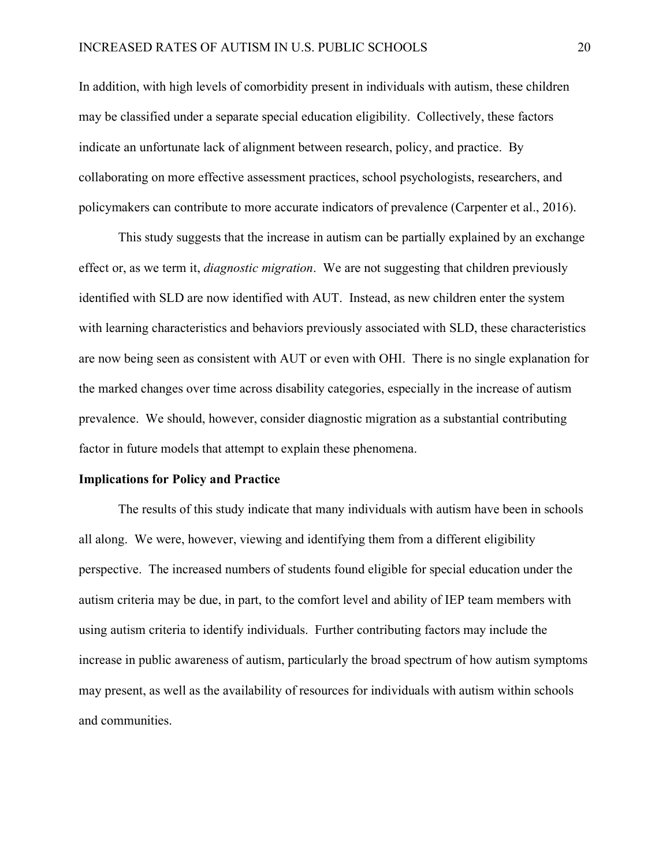In addition, with high levels of comorbidity present in individuals with autism, these children may be classified under a separate special education eligibility. Collectively, these factors indicate an unfortunate lack of alignment between research, policy, and practice. By collaborating on more effective assessment practices, school psychologists, researchers, and policymakers can contribute to more accurate indicators of prevalence (Carpenter et al., 2016).

This study suggests that the increase in autism can be partially explained by an exchange effect or, as we term it, *diagnostic migration*. We are not suggesting that children previously identified with SLD are now identified with AUT. Instead, as new children enter the system with learning characteristics and behaviors previously associated with SLD, these characteristics are now being seen as consistent with AUT or even with OHI. There is no single explanation for the marked changes over time across disability categories, especially in the increase of autism prevalence. We should, however, consider diagnostic migration as a substantial contributing factor in future models that attempt to explain these phenomena.

#### **Implications for Policy and Practice**

The results of this study indicate that many individuals with autism have been in schools all along. We were, however, viewing and identifying them from a different eligibility perspective. The increased numbers of students found eligible for special education under the autism criteria may be due, in part, to the comfort level and ability of IEP team members with using autism criteria to identify individuals. Further contributing factors may include the increase in public awareness of autism, particularly the broad spectrum of how autism symptoms may present, as well as the availability of resources for individuals with autism within schools and communities.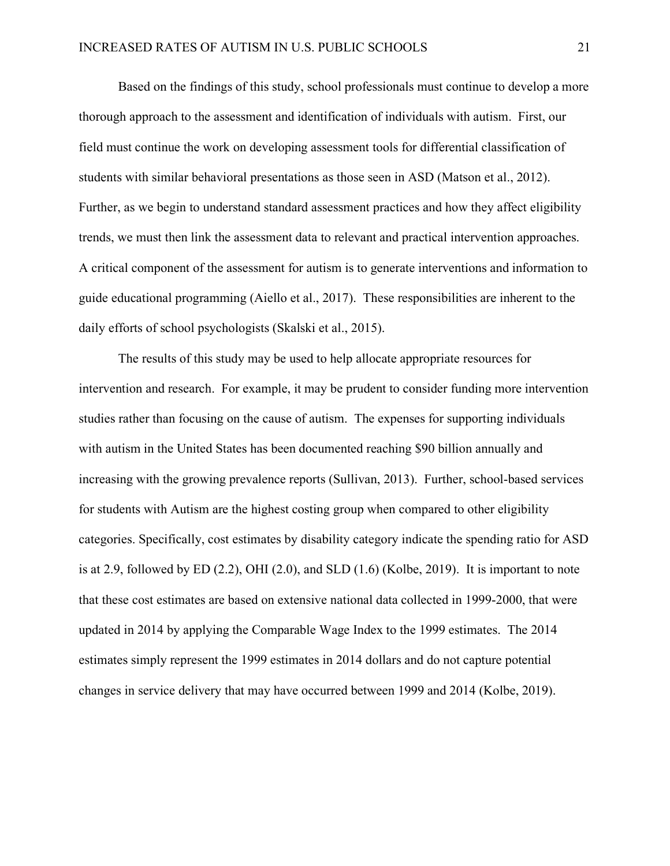Based on the findings of this study, school professionals must continue to develop a more thorough approach to the assessment and identification of individuals with autism. First, our field must continue the work on developing assessment tools for differential classification of students with similar behavioral presentations as those seen in ASD (Matson et al., 2012). Further, as we begin to understand standard assessment practices and how they affect eligibility trends, we must then link the assessment data to relevant and practical intervention approaches. A critical component of the assessment for autism is to generate interventions and information to guide educational programming (Aiello et al., 2017). These responsibilities are inherent to the daily efforts of school psychologists (Skalski et al., 2015).

The results of this study may be used to help allocate appropriate resources for intervention and research. For example, it may be prudent to consider funding more intervention studies rather than focusing on the cause of autism. The expenses for supporting individuals with autism in the United States has been documented reaching \$90 billion annually and increasing with the growing prevalence reports (Sullivan, 2013). Further, school-based services for students with Autism are the highest costing group when compared to other eligibility categories. Specifically, cost estimates by disability category indicate the spending ratio for ASD is at 2.9, followed by  $ED(2.2)$ , OHI $(2.0)$ , and  $SLD(1.6)$  (Kolbe, 2019). It is important to note that these cost estimates are based on extensive national data collected in 1999-2000, that were updated in 2014 by applying the Comparable Wage Index to the 1999 estimates. The 2014 estimates simply represent the 1999 estimates in 2014 dollars and do not capture potential changes in service delivery that may have occurred between 1999 and 2014 (Kolbe, 2019).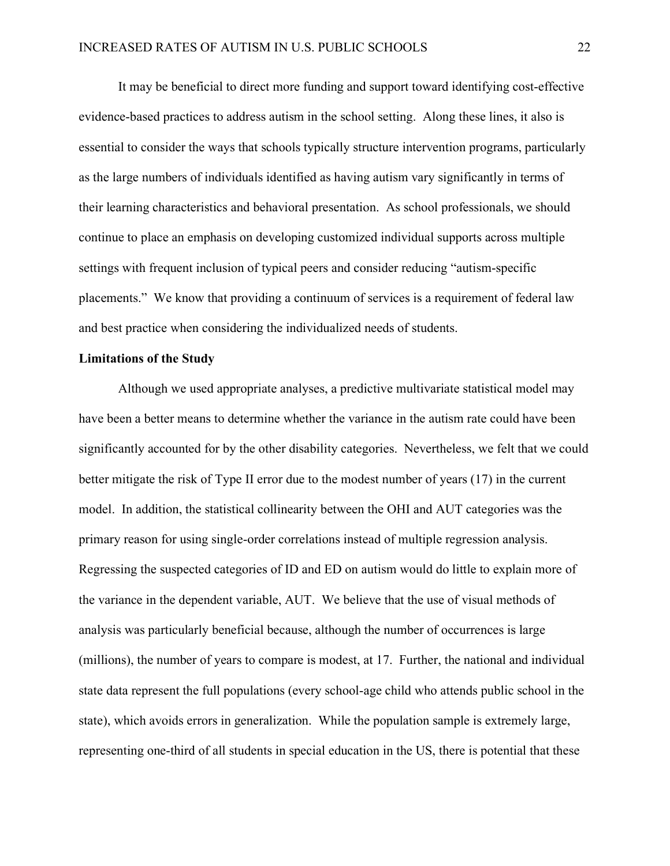It may be beneficial to direct more funding and support toward identifying cost-effective evidence-based practices to address autism in the school setting. Along these lines, it also is essential to consider the ways that schools typically structure intervention programs, particularly as the large numbers of individuals identified as having autism vary significantly in terms of their learning characteristics and behavioral presentation. As school professionals, we should continue to place an emphasis on developing customized individual supports across multiple settings with frequent inclusion of typical peers and consider reducing "autism-specific placements." We know that providing a continuum of services is a requirement of federal law and best practice when considering the individualized needs of students.

### **Limitations of the Study**

Although we used appropriate analyses, a predictive multivariate statistical model may have been a better means to determine whether the variance in the autism rate could have been significantly accounted for by the other disability categories. Nevertheless, we felt that we could better mitigate the risk of Type II error due to the modest number of years (17) in the current model. In addition, the statistical collinearity between the OHI and AUT categories was the primary reason for using single-order correlations instead of multiple regression analysis. Regressing the suspected categories of ID and ED on autism would do little to explain more of the variance in the dependent variable, AUT. We believe that the use of visual methods of analysis was particularly beneficial because, although the number of occurrences is large (millions), the number of years to compare is modest, at 17. Further, the national and individual state data represent the full populations (every school-age child who attends public school in the state), which avoids errors in generalization. While the population sample is extremely large, representing one-third of all students in special education in the US, there is potential that these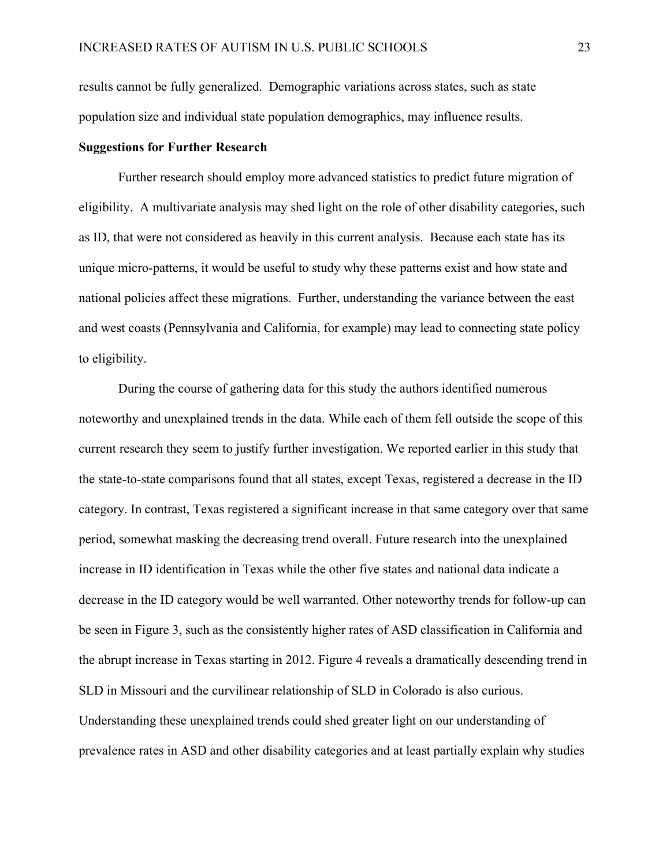results cannot be fully generalized. Demographic variations across states, such as state population size and individual state population demographics, may influence results.

### **Suggestions for Further Research**

Further research should employ more advanced statistics to predict future migration of eligibility. A multivariate analysis may shed light on the role of other disability categories, such as ID, that were not considered as heavily in this current analysis. Because each state has its unique micro-patterns, it would be useful to study why these patterns exist and how state and national policies affect these migrations. Further, understanding the variance between the east and west coasts (Pennsylvania and California, for example) may lead to connecting state policy to eligibility.

During the course of gathering data for this study the authors identified numerous noteworthy and unexplained trends in the data. While each of them fell outside the scope of this current research they seem to justify further investigation. We reported earlier in this study that the state-to-state comparisons found that all states, except Texas, registered a decrease in the ID category. In contrast, Texas registered a significant increase in that same category over that same period, somewhat masking the decreasing trend overall. Future research into the unexplained increase in ID identification in Texas while the other five states and national data indicate a decrease in the ID category would be well warranted. Other noteworthy trends for follow-up can be seen in Figure 3, such as the consistently higher rates of ASD classification in California and the abrupt increase in Texas starting in 2012. Figure 4 reveals a dramatically descending trend in SLD in Missouri and the curvilinear relationship of SLD in Colorado is also curious. Understanding these unexplained trends could shed greater light on our understanding of prevalence rates in ASD and other disability categories and at least partially explain why studies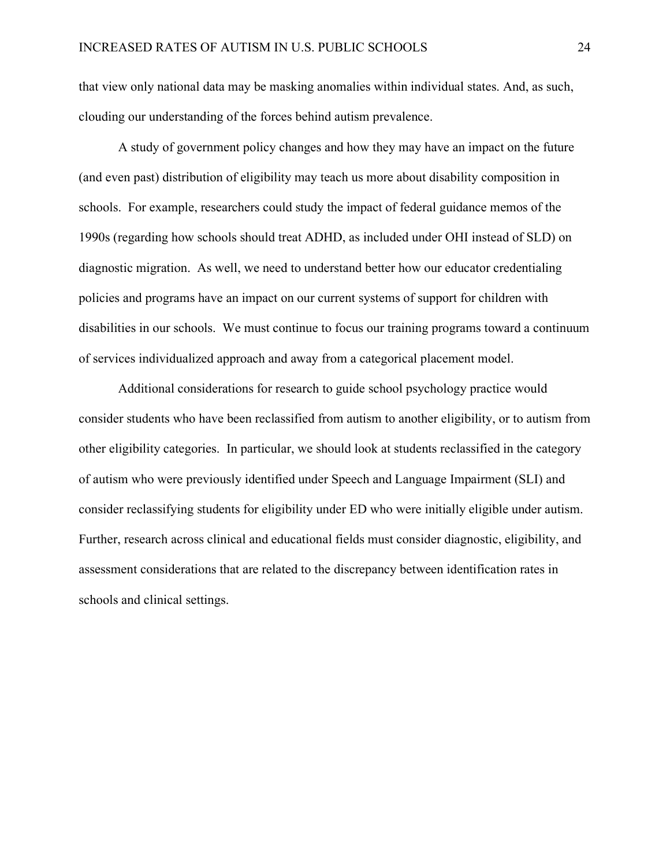that view only national data may be masking anomalies within individual states. And, as such, clouding our understanding of the forces behind autism prevalence.

A study of government policy changes and how they may have an impact on the future (and even past) distribution of eligibility may teach us more about disability composition in schools. For example, researchers could study the impact of federal guidance memos of the 1990s (regarding how schools should treat ADHD, as included under OHI instead of SLD) on diagnostic migration. As well, we need to understand better how our educator credentialing policies and programs have an impact on our current systems of support for children with disabilities in our schools. We must continue to focus our training programs toward a continuum of services individualized approach and away from a categorical placement model.

Additional considerations for research to guide school psychology practice would consider students who have been reclassified from autism to another eligibility, or to autism from other eligibility categories. In particular, we should look at students reclassified in the category of autism who were previously identified under Speech and Language Impairment (SLI) and consider reclassifying students for eligibility under ED who were initially eligible under autism. Further, research across clinical and educational fields must consider diagnostic, eligibility, and assessment considerations that are related to the discrepancy between identification rates in schools and clinical settings.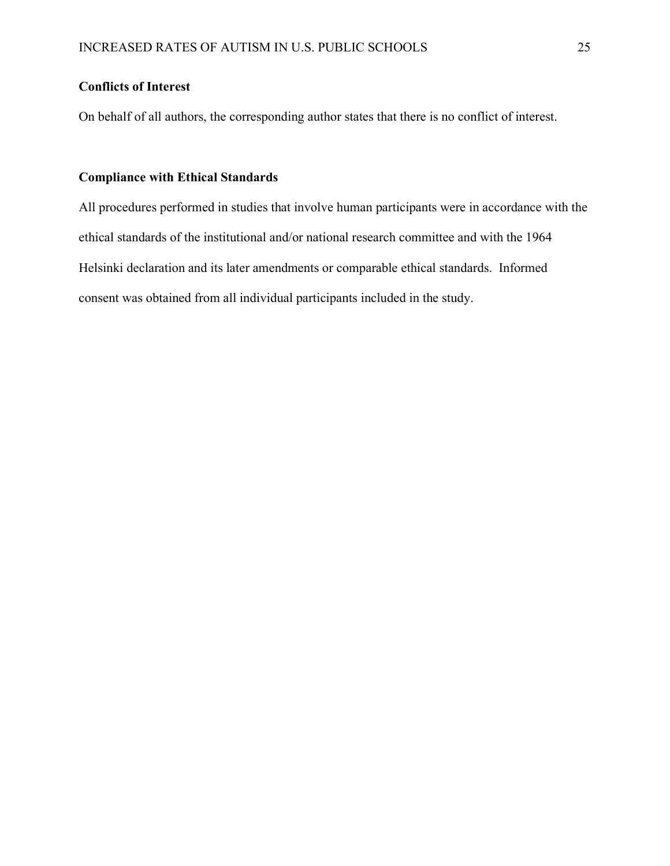# **Conflicts of Interest**

On behalf of all authors, the corresponding author states that there is no conflict of interest.

# **Compliance with Ethical Standards**

All procedures performed in studies that involve human participants were in accordance with the ethical standards of the institutional and/or national research committee and with the 1964 Helsinki declaration and its later amendments or comparable ethical standards. Informed consent was obtained from all individual participants included in the study.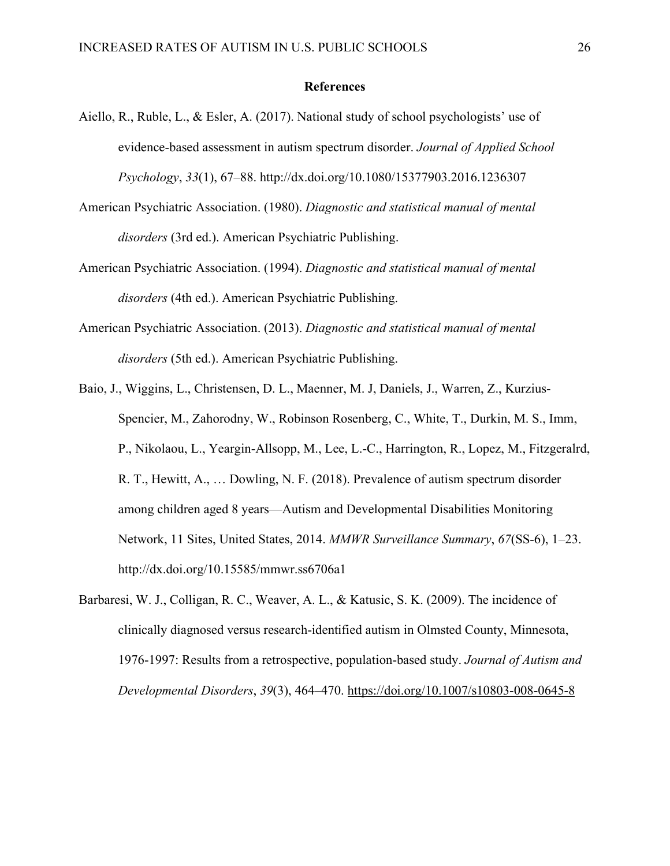#### **References**

- Aiello, R., Ruble, L., & Esler, A. (2017). National study of school psychologists' use of evidence-based assessment in autism spectrum disorder. *Journal of Applied School Psychology*, *33*(1), 67–88. http://dx.doi.org/10.1080/15377903.2016.1236307
- American Psychiatric Association. (1980). *Diagnostic and statistical manual of mental disorders* (3rd ed.). American Psychiatric Publishing.
- American Psychiatric Association. (1994). *Diagnostic and statistical manual of mental disorders* (4th ed.). American Psychiatric Publishing.
- American Psychiatric Association. (2013). *Diagnostic and statistical manual of mental disorders* (5th ed.). American Psychiatric Publishing.
- Baio, J., Wiggins, L., Christensen, D. L., Maenner, M. J, Daniels, J., Warren, Z., Kurzius-Spencier, M., Zahorodny, W., Robinson Rosenberg, C., White, T., Durkin, M. S., Imm, P., Nikolaou, L., Yeargin-Allsopp, M., Lee, L.-C., Harrington, R., Lopez, M., Fitzgeralrd, R. T., Hewitt, A., … Dowling, N. F. (2018). Prevalence of autism spectrum disorder among children aged 8 years—Autism and Developmental Disabilities Monitoring Network, 11 Sites, United States, 2014. *MMWR Surveillance Summary*, *67*(SS-6), 1–23. http://dx.doi.org/10.15585/mmwr.ss6706a1
- Barbaresi, W. J., Colligan, R. C., Weaver, A. L., & Katusic, S. K. (2009). The incidence of clinically diagnosed versus research-identified autism in Olmsted County, Minnesota, 1976-1997: Results from a retrospective, population-based study. *Journal of Autism and Developmental Disorders*, *39*(3), 464–470.<https://doi.org/10.1007/s10803-008-0645-8>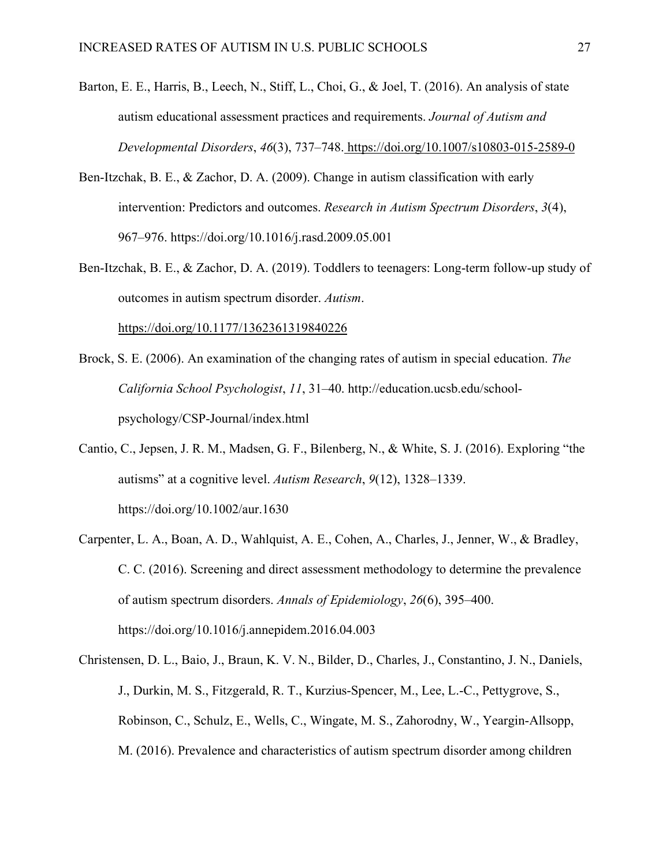- Barton, E. E., Harris, B., Leech, N., Stiff, L., Choi, G., & Joel, T. (2016). An analysis of state autism educational assessment practices and requirements. *Journal of Autism and Developmental Disorders*, *46*(3), 737–748. <https://doi.org/10.1007/s10803-015-2589-0>
- Ben-Itzchak, B. E., & Zachor, D. A. (2009). Change in autism classification with early intervention: Predictors and outcomes. *Research in Autism Spectrum Disorders*, *3*(4), 967–976. https://doi.org/10.1016/j.rasd.2009.05.001
- Ben-Itzchak, B. E., & Zachor, D. A. (2019). Toddlers to teenagers: Long-term follow-up study of outcomes in autism spectrum disorder. *Autism*[.](https://doi.org/10.1177/1362361319840226)

<https://doi.org/10.1177/1362361319840226>

- Brock, S. E. (2006). An examination of the changing rates of autism in special education. *The California School Psychologist*, *11*, 31–40. [http://education.ucsb.edu/school](http://education.ucsb.edu/school-psychology/CSP-Journal/index.html)[psychology/CSP-Journal/index.html](http://education.ucsb.edu/school-psychology/CSP-Journal/index.html)
- Cantio, C., Jepsen, J. R. M., Madsen, G. F., Bilenberg, N., & White, S. J. (2016). Exploring "the autisms" at a cognitive level. *Autism Research*, *9*(12), 1328–1339. <https://doi.org/10.1002/aur.1630>
- Carpenter, L. A., Boan, A. D., Wahlquist, A. E., Cohen, A., Charles, J., Jenner, W., & Bradley, C. C. (2016). Screening and direct assessment methodology to determine the prevalence of autism spectrum disorders. *Annals of Epidemiology*, *26*(6), 395–400. [https://doi.org/10.1016/j.annepidem.2016.04.003](https://doi-org.libproxy.chapman.edu/10.1016/j.annepidem.2016.04.003)
- Christensen, D. L., Baio, J., Braun, K. V. N., Bilder, D., Charles, J., Constantino, J. N., Daniels, J., Durkin, M. S., Fitzgerald, R. T., Kurzius-Spencer, M., Lee, L.-C., Pettygrove, S., Robinson, C., Schulz, E., Wells, C., Wingate, M. S., Zahorodny, W., Yeargin-Allsopp, M. (2016). Prevalence and characteristics of autism spectrum disorder among children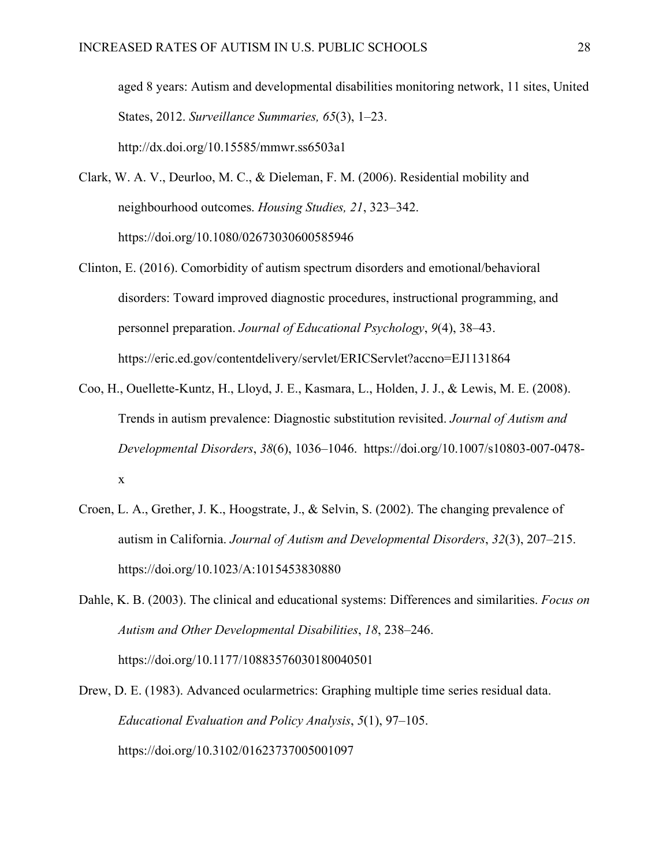aged 8 years: Autism and developmental disabilities monitoring network, 11 sites, United States, 2012. *Surveillance Summaries, 65*(3), 1–23. http://dx.doi.org/10.15585/mmwr.ss6503a1

- Clark, W. A. V., Deurloo, M. C., & Dieleman, F. M. (2006). Residential mobility and neighbourhood outcomes. *Housing Studies, 21*, 323–342. [https://doi.org/10.1080/02673030600585946](https://doi-org.libproxy.chapman.edu/10.1080/02673030600585946)
- Clinton, E. (2016). Comorbidity of autism spectrum disorders and emotional/behavioral disorders: Toward improved diagnostic procedures, instructional programming, and personnel preparation. *Journal of Educational Psychology*, *9*(4), 38–43. <https://eric.ed.gov/contentdelivery/servlet/ERICServlet?accno=EJ1131864>
- Coo, H., Ouellette-Kuntz, H., Lloyd, J. E., Kasmara, L., Holden, J. J., & Lewis, M. E. (2008). Trends in autism prevalence: Diagnostic substitution revisited. *Journal of Autism and Developmental Disorders*, *38*(6), 1036–1046. [https://doi.org/10.1007/s10803-007-0478](https://doi-org.libproxy.chapman.edu/10.1007/s10803-007-0478-x) [x](https://doi-org.libproxy.chapman.edu/10.1007/s10803-007-0478-x)
- Croen, L. A., Grether, J. K., Hoogstrate, J., & Selvin, S. (2002). The changing prevalence of autism in California. *Journal of Autism and Developmental Disorders*, *32*(3), 207–215. [https://doi.org/10.1023/A:1015453830880](https://doi-org.libproxy.chapman.edu/10.1023/A:1015453830880)
- Dahle, K. B. (2003). The clinical and educational systems: Differences and similarities. *Focus on Autism and Other Developmental Disabilities*, *18*, 238–246. [https://doi.org/10.1177/10883576030180040501](https://doi-org.libproxy.chapman.edu/10.1177%2F10883576030180040501)
- Drew, D. E. (1983). Advanced ocularmetrics: Graphing multiple time series residual data. *Educational Evaluation and Policy Analysis*, *5*(1), 97–105. [https://doi.org/10.3102/01623737005001097](https://doi-org.libproxy.chapman.edu/10.3102%2F01623737005001097)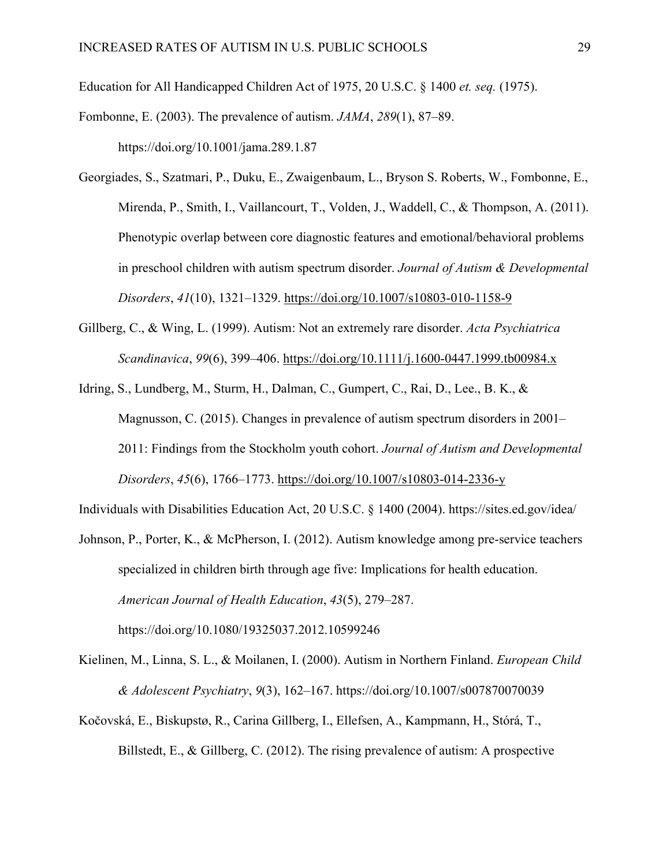Education for All Handicapped Children Act of 1975, 20 U.S.C. § 1400 *et. seq.* (1975).

Fombonne, E. (2003). The prevalence of autism. *JAMA*, *289*(1), 87–89. https://doi.org/10.1001/jama.289.1.87

Georgiades, S., Szatmari, P., Duku, E., Zwaigenbaum, L., Bryson S. Roberts, W., Fombonne, E., Mirenda, P., Smith, I., Vaillancourt, T., Volden, J., Waddell, C., & Thompson, A. (2011). Phenotypic overlap between core diagnostic features and emotional/behavioral problems in preschool children with autism spectrum disorder. *Journal of Autism & Developmental Disorders*, *41*(10), 1321–1329.<https://doi.org/10.1007/s10803-010-1158-9>

Gillberg, C., & Wing, L. (1999). Autism: Not an extremely rare disorder. *Acta Psychiatrica Scandinavica*, *99*(6), 399–406.<https://doi.org/10.1111/j.1600-0447.1999.tb00984.x>

Idring, S., Lundberg, M., Sturm, H., Dalman, C., Gumpert, C., Rai, D., Lee., B. K., & Magnusson, C. (2015). Changes in prevalence of autism spectrum disorders in 2001– 2011: Findings from the Stockholm youth cohort. *Journal of Autism and Developmental Disorders*, *45*(6), 1766–1773.<https://doi.org/10.1007/s10803-014-2336-y>

Individuals with Disabilities Education Act, 20 U.S.C. § 1400 (2004).<https://sites.ed.gov/idea/>

- Johnson, P., Porter, K., & McPherson, I. (2012). Autism knowledge among pre-service teachers specialized in children birth through age five: Implications for health education. *American Journal of Health Education*, *43*(5), 279–287. https://doi.org/10.1080/19325037.2012.10599246
- Kielinen, M., Linna, S. L., & Moilanen, I. (2000). Autism in Northern Finland. *European Child & Adolescent Psychiatry*, *9*(3), 162–167. <https://doi.org/10.1007/s007870070039>
- Kočovská, E., Biskupstø, R., Carina Gillberg, I., Ellefsen, A., Kampmann, H., Stórá, T., Billstedt, E., & Gillberg, C. (2012). The rising prevalence of autism: A prospective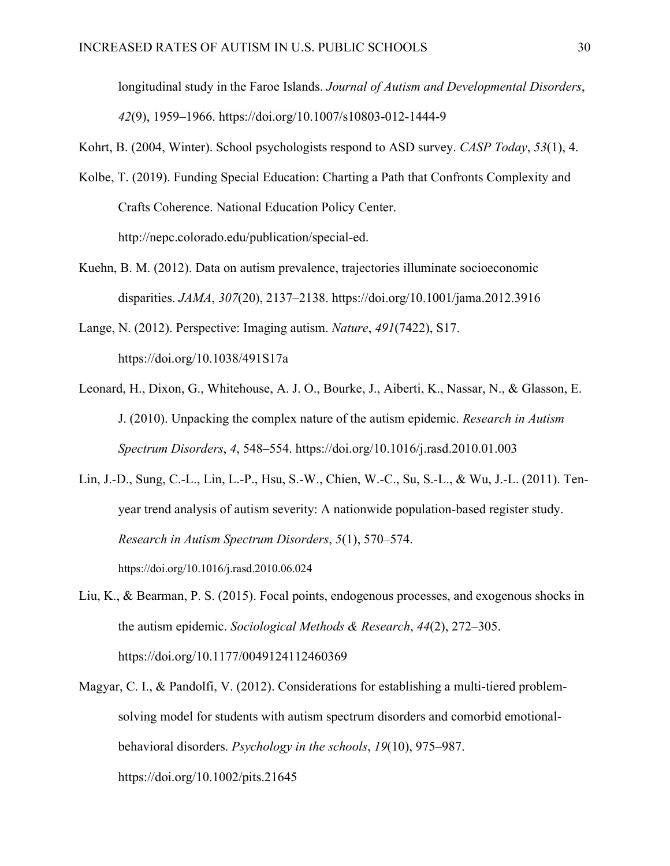longitudinal study in the Faroe Islands. *Journal of Autism and Developmental Disorders*, *42*(9), 1959–1966. https://doi.org/10.1007/s10803-012-1444-9

Kohrt, B. (2004, Winter). School psychologists respond to ASD survey. *CASP Today*, *53*(1), 4.

- Kolbe, T. (2019). Funding Special Education: Charting a Path that Confronts Complexity and Crafts Coherence. National Education Policy Center. http://nepc.colorado.edu/publication/special-ed.
- Kuehn, B. M. (2012). Data on autism prevalence, trajectories illuminate socioeconomic disparities. *JAMA*, *307*(20), 2137–2138. https://doi.org/10.1001/jama.2012.3916
- Lange, N. (2012). Perspective: Imaging autism. *Nature*, *491*(7422), S17. [https://doi.org/10.1038/491S17a](https://doi-org.libproxy.chapman.edu/10.1038/491S17a)
- Leonard, H., Dixon, G., Whitehouse, A. J. O., Bourke, J., Aiberti, K., Nassar, N., & Glasson, E. J. (2010). Unpacking the complex nature of the autism epidemic. *Research in Autism Spectrum Disorders*, *4*, 548–554. <https://doi.org/10.1016/j.rasd.2010.01.003>

Lin, J.-D., Sung, C.-L., Lin, L.-P., Hsu, S.-W., Chien, W.-C., Su, S.-L., & Wu, J.-L. (2011). Tenyear trend analysis of autism severity: A nationwide population-based register study. *Research in Autism Spectrum Disorders*, *5*(1), 570–574. [https://doi.org/10.1016/j.rasd.2010.06.024](https://doi-org.libproxy.chapman.edu/10.1016/j.rasd.2010.06.024)

- Liu, K., & Bearman, P. S. (2015). Focal points, endogenous processes, and exogenous shocks in the autism epidemic. *Sociological Methods & Research*, *44*(2), 272–305. [https://doi.org/10.1177/0049124112460369](https://doi-org.libproxy.chapman.edu/10.1177%2F0049124112460369)
- Magyar, C. I., & Pandolfi, V. (2012). Considerations for establishing a multi-tiered problemsolving model for students with autism spectrum disorders and comorbid emotionalbehavioral disorders. *Psychology in the schools*, *19*(10), 975–987. [https://doi.org/10.1002/pits.21645](https://doi-org.libproxy.chapman.edu/10.1002/pits.21645)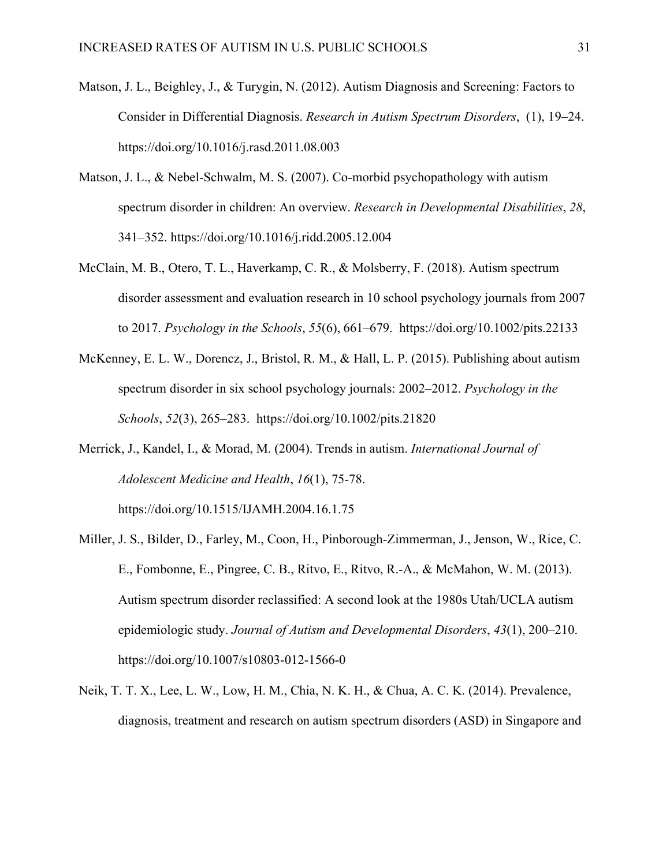- Matson, J. L., Beighley, J., & Turygin, N. (2012). Autism Diagnosis and Screening: Factors to Consider in Differential Diagnosis. *Research in Autism Spectrum Disorders*, (1), 19–24. [https://doi.org/10.1016/j.rasd.2011.08.003](https://doi-org.libproxy.chapman.edu/10.1016/j.rasd.2011.08.003)
- Matson, J. L., & Nebel-Schwalm, M. S. (2007). Co-morbid psychopathology with autism spectrum disorder in children: An overview. *Research in Developmental Disabilities*, *28*, 341–352. [https://doi.org/10.1016/j.ridd.2005.12.004](https://doi-org.libproxy.chapman.edu/10.1016/j.ridd.2005.12.004)
- McClain, M. B., Otero, T. L., Haverkamp, C. R., & Molsberry, F. (2018). Autism spectrum disorder assessment and evaluation research in 10 school psychology journals from 2007 to 2017. *Psychology in the Schools*, *55*(6), 661–679. [https://doi.org/10.1002/pits.22133](https://doi-org.libproxy.chapman.edu/10.1002/pits.22133)
- McKenney, E. L. W., Dorencz, J., Bristol, R. M., & Hall, L. P. (2015). Publishing about autism spectrum disorder in six school psychology journals: 2002–2012. *Psychology in the Schools*, *52*(3), 265–283. [https://doi.org/10.1002/pits.21820](https://doi-org.libproxy.chapman.edu/10.1002/pits.21820)
- Merrick, J., Kandel, I., & Morad, M. (2004). Trends in autism. *International Journal of Adolescent Medicine and Health*, *16*(1), 75-78.
	- [https://doi.org/10.1515/IJAMH.2004.16.1.75](https://doi-org.libproxy.chapman.edu/10.1515/IJAMH.2004.16.1.75)
- Miller, J. S., Bilder, D., Farley, M., Coon, H., Pinborough-Zimmerman, J., Jenson, W., Rice, C. E., Fombonne, E., Pingree, C. B., Ritvo, E., Ritvo, R.-A., & McMahon, W. M. (2013). Autism spectrum disorder reclassified: A second look at the 1980s Utah/UCLA autism epidemiologic study. *Journal of Autism and Developmental Disorders*, *43*(1), 200–210. [https://doi.org/10.1007/s10803-012-1566-0](https://doi-org.libproxy.chapman.edu/10.1007/s10803-012-1566-0)
- Neik, T. T. X., Lee, L. W., Low, H. M., Chia, N. K. H., & Chua, A. C. K. (2014). Prevalence, diagnosis, treatment and research on autism spectrum disorders (ASD) in Singapore and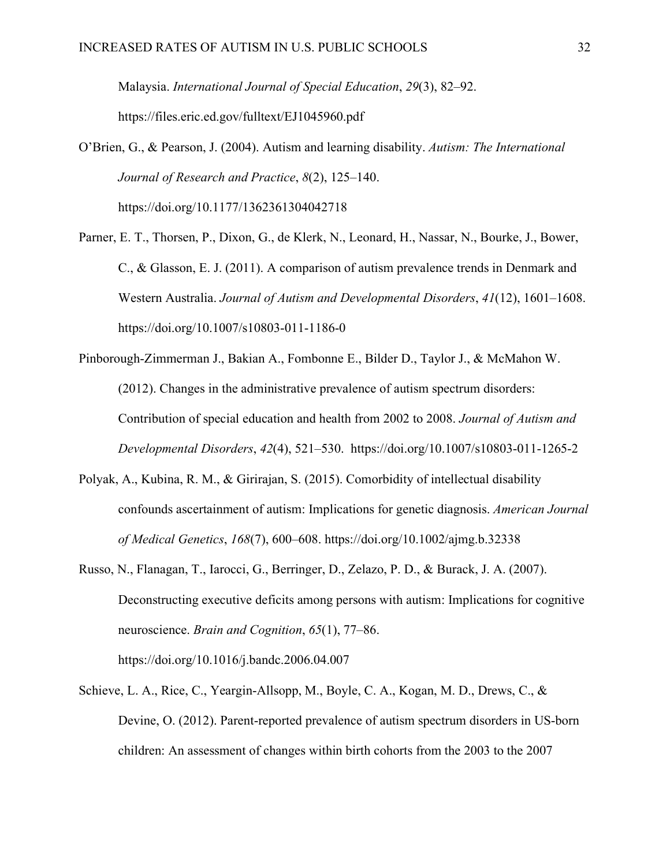Malaysia. *International Journal of Special Education*, *29*(3), 82–92. <https://files.eric.ed.gov/fulltext/EJ1045960.pdf>

- O'Brien, G., & Pearson, J. (2004). Autism and learning disability. *Autism: The International Journal of Research and Practice*, *8*(2), 125–140. [https://doi.org/10.1177/1362361304042718](https://doi-org.libproxy.chapman.edu/10.1177%2F1362361304042718)
- Parner, E. T., Thorsen, P., Dixon, G., de Klerk, N., Leonard, H., Nassar, N., Bourke, J., Bower, C., & Glasson, E. J. (2011). A comparison of autism prevalence trends in Denmark and Western Australia. *Journal of Autism and Developmental Disorders*, *41*(12), 1601–1608. [https://doi.org/10.1007/s10803-011-1186-0](https://doi-org.libproxy.chapman.edu/10.1007/s10803-011-1186-0)
- Pinborough-Zimmerman J., Bakian A., Fombonne E., Bilder D., Taylor J., & McMahon W. (2012). Changes in the administrative prevalence of autism spectrum disorders: Contribution of special education and health from 2002 to 2008. *Journal of Autism and Developmental Disorders*, *42*(4), 521–530. [https://doi.org/10.1007/s10803-011-1265-2](https://doi-org.libproxy.chapman.edu/10.1007/s10803-011-1265-2)
- Polyak, A., Kubina, R. M., & Girirajan, S. (2015). Comorbidity of intellectual disability confounds ascertainment of autism: Implications for genetic diagnosis. *American Journal of Medical Genetics*, *168*(7), 600–608. <https://doi.org/10.1002/ajmg.b.32338>
- Russo, N., Flanagan, T., Iarocci, G., Berringer, D., Zelazo, P. D., & Burack, J. A. (2007). Deconstructing executive deficits among persons with autism: Implications for cognitive neuroscience. *Brain and Cognition*, *65*(1), 77–86. [https://doi.org/10.1016/j.bandc.2006.04.007](https://doi-org.libproxy.chapman.edu/10.1016/j.bandc.2006.04.007)
- Schieve, L. A., Rice, C., Yeargin-Allsopp, M., Boyle, C. A., Kogan, M. D., Drews, C., & Devine, O. (2012). Parent-reported prevalence of autism spectrum disorders in US-born children: An assessment of changes within birth cohorts from the 2003 to the 2007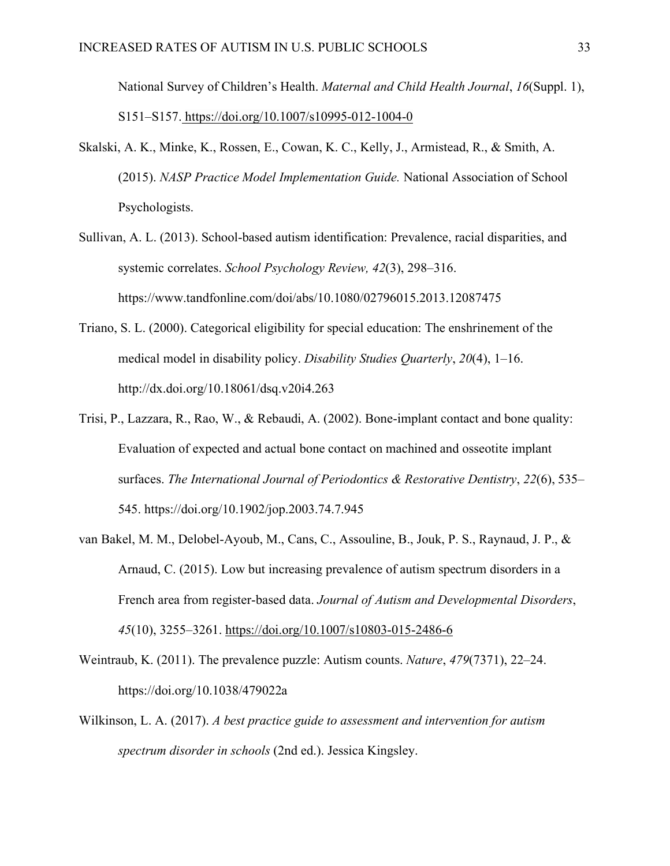National Survey of Children's Health. *Maternal and Child Health Journal*, *16*(Suppl. 1), S151–S157. <https://doi.org/10.1007/s10995-012-1004-0>

- Skalski, A. K., Minke, K., Rossen, E., Cowan, K. C., Kelly, J., Armistead, R., & Smith, A. (2015). *NASP Practice Model Implementation Guide.* National Association of School Psychologists.
- Sullivan, A. L. (2013). School-based autism identification: Prevalence, racial disparities, and systemic correlates. *School Psychology Review, 42*(3), 298–316. https://www.tandfonline.com/doi/abs/10.1080/02796015.2013.12087475
- Triano, S. L. (2000). Categorical eligibility for special education: The enshrinement of the medical model in disability policy. *Disability Studies Quarterly*, *20*(4), 1–16. <http://dx.doi.org/10.18061/dsq.v20i4.263>
- Trisi, P., Lazzara, R., Rao, W., & Rebaudi, A. (2002). Bone-implant contact and bone quality: Evaluation of expected and actual bone contact on machined and osseotite implant surfaces. *The International Journal of Periodontics & Restorative Dentistry*, *22*(6), 535– 545. https://doi.org/10.1902/jop.2003.74.7.945
- van Bakel, M. M., Delobel-Ayoub, M., Cans, C., Assouline, B., Jouk, P. S., Raynaud, J. P., & Arnaud, C. (2015). Low but increasing prevalence of autism spectrum disorders in a French area from register-based data. *Journal of Autism and Developmental Disorders*, *45*(10), 3255–3261.<https://doi.org/10.1007/s10803-015-2486-6>
- Weintraub, K. (2011). The prevalence puzzle: Autism counts. *Nature*, *479*(7371), 22–24. [https://doi.org/10.1038/479022a](https://doi-org.libproxy.chapman.edu/10.1038/479022a)
- Wilkinson, L. A. (2017). *A best practice guide to assessment and intervention for autism spectrum disorder in schools* (2nd ed.). Jessica Kingsley.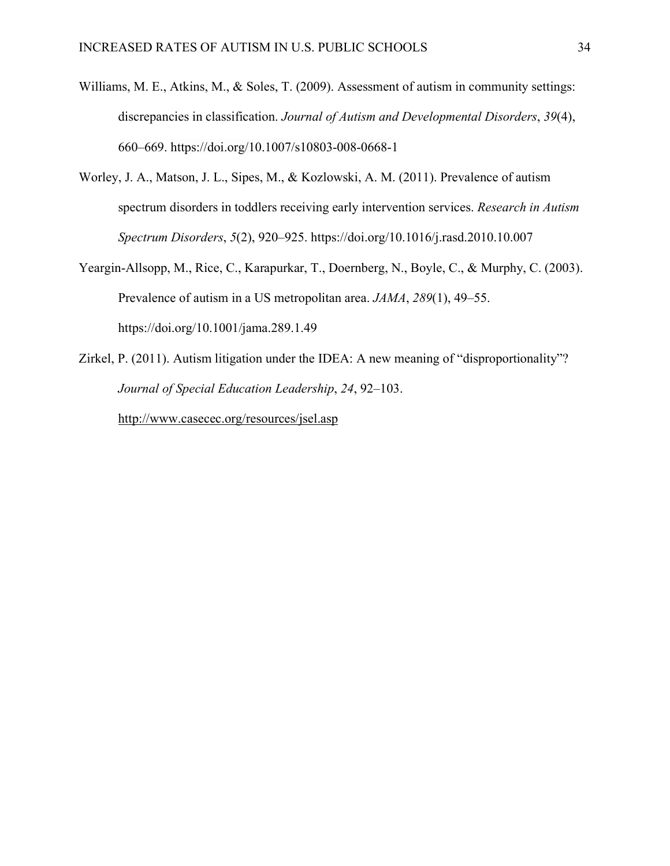- Williams, M. E., Atkins, M., & Soles, T. (2009). Assessment of autism in community settings: discrepancies in classification. *Journal of Autism and Developmental Disorders*, *39*(4), 660–669. <https://doi.org/10.1007/s10803-008-0668-1>
- Worley, J. A., Matson, J. L., Sipes, M., & Kozlowski, A. M. (2011). Prevalence of autism spectrum disorders in toddlers receiving early intervention services. *Research in Autism Spectrum Disorders*, *5*(2), 920–925. [https://doi.org/10.1016/j.rasd.2010.10.007](https://doi-org.libproxy.chapman.edu/10.1016/j.rasd.2010.10.007)
- Yeargin-Allsopp, M., Rice, C., Karapurkar, T., Doernberg, N., Boyle, C., & Murphy, C. (2003). Prevalence of autism in a US metropolitan area. *JAMA*, *289*(1), 49–55. https://doi.org[/10.1001/jama.289.1.49](https://doi-org.libproxy.chapman.edu/10.1001/jama.289.1.49)
- Zirkel, P. (2011). Autism litigation under the IDEA: A new meaning of "disproportionality"? *Journal of Special Education Leadership*, *24*, 92–103.

<http://www.casecec.org/resources/jsel.asp>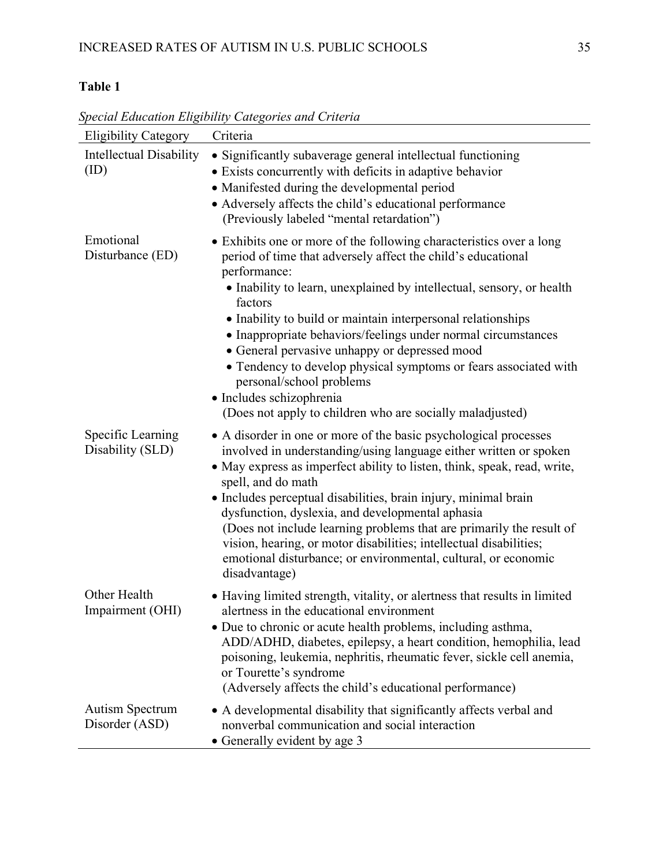# **Table 1**

| <b>Eligibility Category</b>            | Criteria                                                                                                                                                                                                                                                                                                                                                                                                                                                                                                                                                                                                           |
|----------------------------------------|--------------------------------------------------------------------------------------------------------------------------------------------------------------------------------------------------------------------------------------------------------------------------------------------------------------------------------------------------------------------------------------------------------------------------------------------------------------------------------------------------------------------------------------------------------------------------------------------------------------------|
| <b>Intellectual Disability</b><br>(ID) | • Significantly subaverage general intellectual functioning<br>• Exists concurrently with deficits in adaptive behavior<br>• Manifested during the developmental period<br>• Adversely affects the child's educational performance<br>(Previously labeled "mental retardation")                                                                                                                                                                                                                                                                                                                                    |
| Emotional<br>Disturbance (ED)          | • Exhibits one or more of the following characteristics over a long<br>period of time that adversely affect the child's educational<br>performance:<br>• Inability to learn, unexplained by intellectual, sensory, or health<br>factors<br>• Inability to build or maintain interpersonal relationships<br>• Inappropriate behaviors/feelings under normal circumstances<br>• General pervasive unhappy or depressed mood<br>• Tendency to develop physical symptoms or fears associated with<br>personal/school problems<br>· Includes schizophrenia<br>(Does not apply to children who are socially maladjusted) |
| Specific Learning<br>Disability (SLD)  | • A disorder in one or more of the basic psychological processes<br>involved in understanding/using language either written or spoken<br>• May express as imperfect ability to listen, think, speak, read, write,<br>spell, and do math<br>• Includes perceptual disabilities, brain injury, minimal brain<br>dysfunction, dyslexia, and developmental aphasia<br>(Does not include learning problems that are primarily the result of<br>vision, hearing, or motor disabilities; intellectual disabilities;<br>emotional disturbance; or environmental, cultural, or economic<br>disadvantage)                    |
| Other Health<br>Impairment (OHI)       | • Having limited strength, vitality, or alertness that results in limited<br>alertness in the educational environment<br>• Due to chronic or acute health problems, including asthma,<br>ADD/ADHD, diabetes, epilepsy, a heart condition, hemophilia, lead<br>poisoning, leukemia, nephritis, rheumatic fever, sickle cell anemia,<br>or Tourette's syndrome<br>(Adversely affects the child's educational performance)                                                                                                                                                                                            |
| Autism Spectrum<br>Disorder (ASD)      | • A developmental disability that significantly affects verbal and<br>nonverbal communication and social interaction<br>• Generally evident by age 3                                                                                                                                                                                                                                                                                                                                                                                                                                                               |

*Special Education Eligibility Categories and Criteria*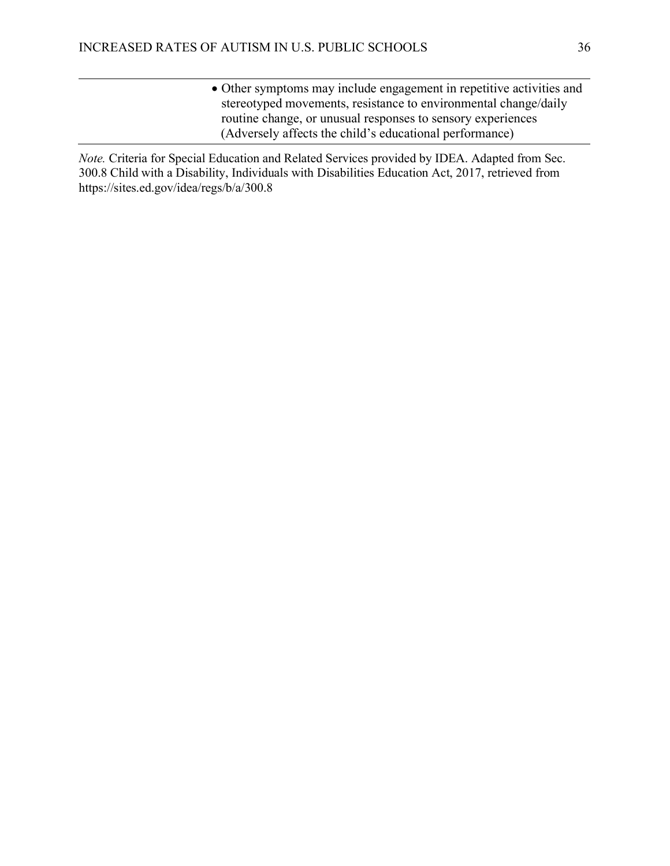• Other symptoms may include engagement in repetitive activities and stereotyped movements, resistance to environmental change/daily routine change, or unusual responses to sensory experiences (Adversely affects the child's educational performance)

*Note.* Criteria for Special Education and Related Services provided by IDEA. Adapted from Sec. 300.8 Child with a Disability, Individuals with Disabilities Education Act, 2017, retrieved from https://sites.ed.gov/idea/regs/b/a/300.8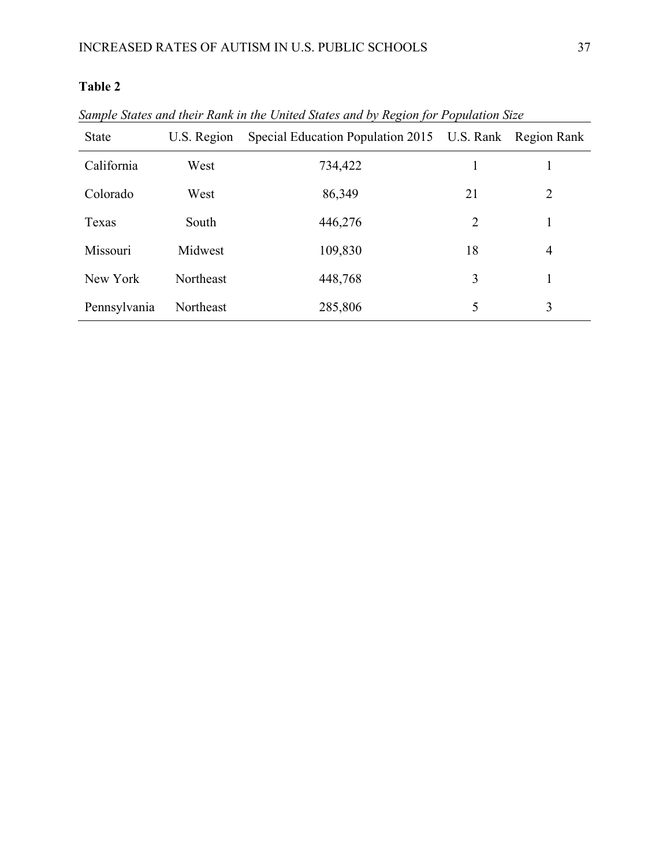# **Table 2**

| <b>State</b> | U.S. Region | Special Education Population 2015 U.S. Rank Region Rank |    |                |
|--------------|-------------|---------------------------------------------------------|----|----------------|
| California   | West        | 734,422                                                 |    |                |
| Colorado     | West        | 86,349                                                  | 21 | 2              |
| Texas        | South       | 446,276                                                 | 2  |                |
| Missouri     | Midwest     | 109,830                                                 | 18 | $\overline{4}$ |
| New York     | Northeast   | 448,768                                                 | 3  |                |
| Pennsylvania | Northeast   | 285,806                                                 | 5  | 3              |

*Sample States and their Rank in the United States and by Region for Population Size*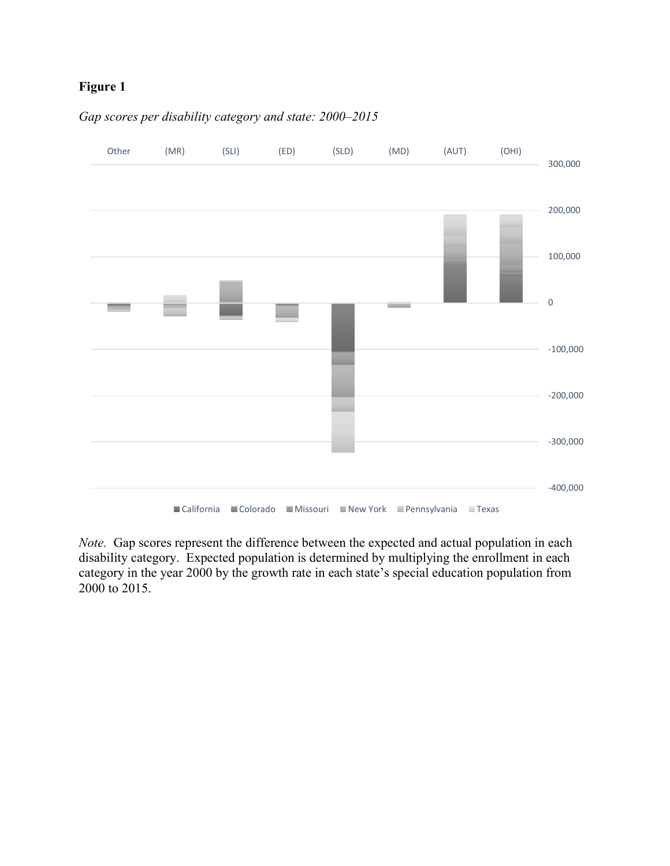

# *Gap scores per disability category and state: 2000–2015*

*Note.* Gap scores represent the difference between the expected and actual population in each disability category. Expected population is determined by multiplying the enrollment in each category in the year 2000 by the growth rate in each state's special education population from 2000 to 2015.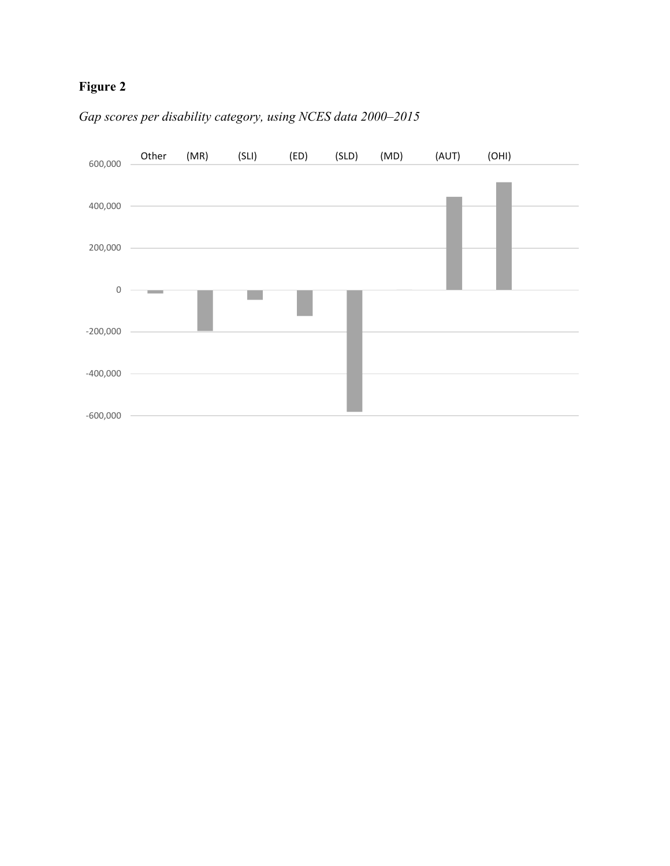

# *Gap scores per disability category, using NCES data 2000–2015*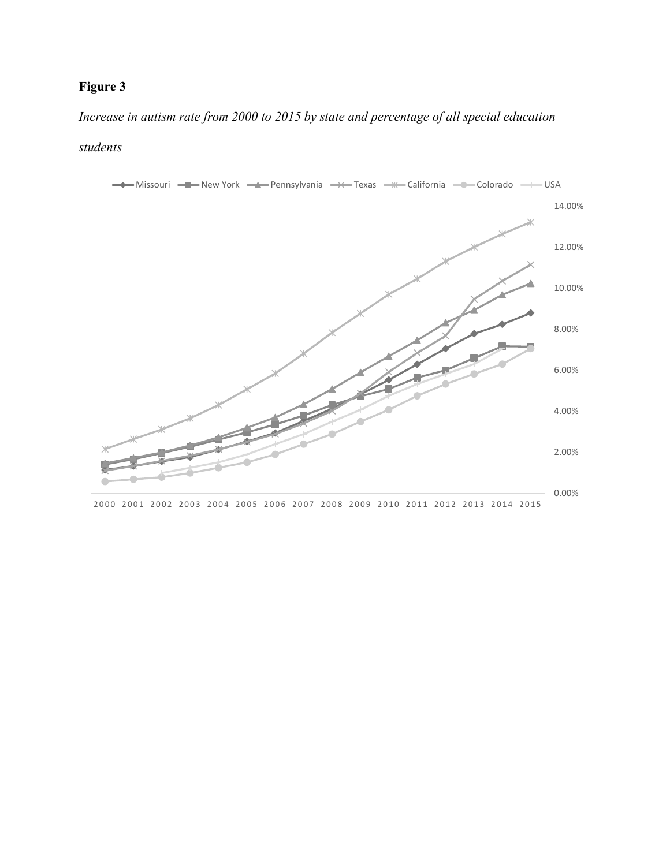*Increase in autism rate from 2000 to 2015 by state and percentage of all special education* 

# *students*



2000 2001 2002 2003 2004 2005 2006 2007 2008 2009 2010 2011 2012 2013 2014 2015